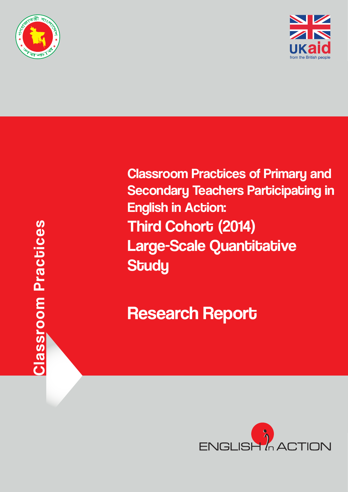



Classroom Practices Classroom Practices

**Classroom Practices of Primary and Secondary Teachers Participating in English in Action:** Third Cohort (2014) Large-Scale Quantitative **Study** 

Research Report

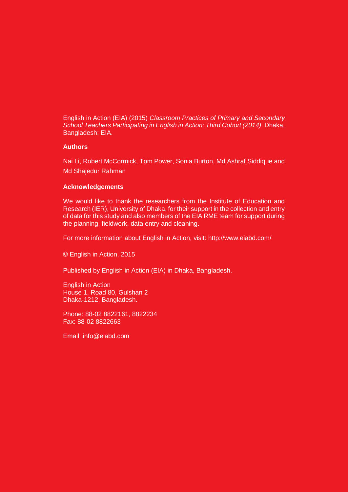English in Action (EIA) (2015) *Classroom Practices of Primary and Secondary School Teachers Participating in English in Action: Third Cohort (2014)*. Dhaka, Bangladesh: EIA.

#### **Authors**

Nai Li, Robert McCormick, Tom Power, Sonia Burton, Md Ashraf Siddique and Md Shajedur Rahman

#### **Acknowledgements**

We would like to thank the researchers from the Institute of Education and Research (IER), University of Dhaka, for their support in the collection and entry of data for this study and also members of the EIA RME team for support during the planning, fieldwork, data entry and cleaning.

For more information about English in Action, visit:<http://www.eiabd.com/>

© English in Action, 2015

Published by English in Action (EIA) in Dhaka, Bangladesh.

English in Action House 1, Road 80, Gulshan 2 Dhaka-1212, Bangladesh.

Phone: 88-02 8822161, 8822234 Fax: 88-02 8822663

Email: info@eiabd.com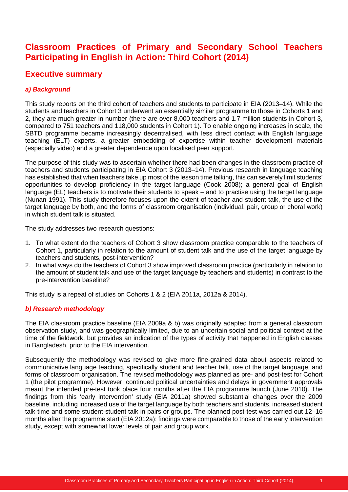## **Classroom Practices of Primary and Secondary School Teachers Participating in English in Action: Third Cohort (2014)**

## **Executive summary**

## *a) Background*

This study reports on the third cohort of teachers and students to participate in EIA (2013–14). While the students and teachers in Cohort 3 underwent an essentially similar programme to those in Cohorts 1 and 2, they are much greater in number (there are over 8,000 teachers and 1.7 million students in Cohort 3, compared to 751 teachers and 118,000 students in Cohort 1). To enable ongoing increases in scale, the SBTD programme became increasingly decentralised, with less direct contact with English language teaching (ELT) experts, a greater embedding of expertise within teacher development materials (especially video) and a greater dependence upon localised peer support.

The purpose of this study was to ascertain whether there had been changes in the classroom practice of teachers and students participating in EIA Cohort 3 (2013–14). Previous research in language teaching has established that when teachers take up most of the lesson time talking, this can severely limit students' opportunities to develop proficiency in the target language (Cook 2008); a general goal of English language (EL) teachers is to motivate their students to speak – and to practise using the target language (Nunan 1991). This study therefore focuses upon the extent of teacher and student talk, the use of the target language by both, and the forms of classroom organisation (individual, pair, group or choral work) in which student talk is situated.

The study addresses two research questions:

- 1. To what extent do the teachers of Cohort 3 show classroom practice comparable to the teachers of Cohort 1, particularly in relation to the amount of student talk and the use of the target language by teachers and students, post-intervention?
- 2. In what ways do the teachers of Cohort 3 show improved classroom practice (particularly in relation to the amount of student talk and use of the target language by teachers and students) in contrast to the pre-intervention baseline?

This study is a repeat of studies on Cohorts 1 & 2 (EIA 2011a, 2012a & 2014).

## *b) Research methodology*

The EIA classroom practice baseline (EIA 2009a & b) was originally adapted from a general classroom observation study, and was geographically limited, due to an uncertain social and political context at the time of the fieldwork, but provides an indication of the types of activity that happened in English classes in Bangladesh, prior to the EIA intervention.

Subsequently the methodology was revised to give more fine-grained data about aspects related to communicative language teaching, specifically student and teacher talk, use of the target language, and forms of classroom organisation. The revised methodology was planned as pre- and post-test for Cohort 1 (the pilot programme). However, continued political uncertainties and delays in government approvals meant the intended pre-test took place four months after the EIA programme launch (June 2010). The findings from this 'early intervention' study (EIA 2011a) showed substantial changes over the 2009 baseline, including increased use of the target language by both teachers and students, increased student talk-time and some student-student talk in pairs or groups. The planned post-test was carried out 12–16 months after the programme start (EIA 2012a); findings were comparable to those of the early intervention study, except with somewhat lower levels of pair and group work.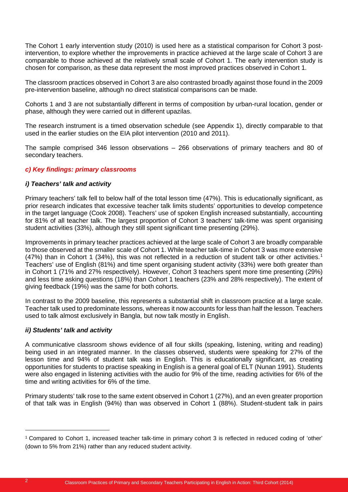The Cohort 1 early intervention study (2010) is used here as a statistical comparison for Cohort 3 postintervention, to explore whether the improvements in practice achieved at the large scale of Cohort 3 are comparable to those achieved at the relatively small scale of Cohort 1. The early intervention study is chosen for comparison, as these data represent the most improved practices observed in Cohort 1.

The classroom practices observed in Cohort 3 are also contrasted broadly against those found in the 2009 pre-intervention baseline, although no direct statistical comparisons can be made.

Cohorts 1 and 3 are not substantially different in terms of composition by urban-rural location, gender or phase, although they were carried out in different upazilas.

The research instrument is a timed observation schedule (see Appendix 1), directly comparable to that used in the earlier studies on the EIA pilot intervention (2010 and 2011).

The sample comprised 346 lesson observations – 266 observations of primary teachers and 80 of secondary teachers.

## *c) Key findings: primary classrooms*

## *i) Teachers' talk and activity*

Primary teachers' talk fell to below half of the total lesson time (47%). This is educationally significant, as prior research indicates that excessive teacher talk limits students' opportunities to develop competence in the target language (Cook 2008). Teachers' use of spoken English increased substantially, accounting for 81% of all teacher talk. The largest proportion of Cohort 3 teachers' talk-time was spent organising student activities (33%), although they still spent significant time presenting (29%).

Improvements in primary teacher practices achieved at the large scale of Cohort 3 are broadly comparable to those observed at the smaller scale of Cohort 1. While teacher talk-time in Cohort 3 was more extensive (47%) than in Cohort [1](#page-3-0) (34%), this was not reflected in a reduction of student talk or other activities.<sup>1</sup> Teachers' use of English (81%) and time spent organising student activity (33%) were both greater than in Cohort 1 (71% and 27% respectively). However, Cohort 3 teachers spent more time presenting (29%) and less time asking questions (18%) than Cohort 1 teachers (23% and 28% respectively). The extent of giving feedback (19%) was the same for both cohorts.

In contrast to the 2009 baseline, this represents a substantial shift in classroom practice at a large scale. Teacher talk used to predominate lessons, whereas it now accounts for less than half the lesson. Teachers used to talk almost exclusively in Bangla, but now talk mostly in English.

#### *ii) Students' talk and activity*

A communicative classroom shows evidence of all four skills (speaking, listening, writing and reading) being used in an integrated manner. In the classes observed, students were speaking for 27% of the lesson time and 94% of student talk was in English. This is educationally significant, as creating opportunities for students to practise speaking in English is a general goal of ELT (Nunan 1991). Students were also engaged in listening activities with the audio for 9% of the time, reading activities for 6% of the time and writing activities for 6% of the time.

Primary students' talk rose to the same extent observed in Cohort 1 (27%), and an even greater proportion of that talk was in English (94%) than was observed in Cohort 1 (88%). Student-student talk in pairs

 $\ddot{\phantom{a}}$ 

<span id="page-3-0"></span><sup>1</sup> Compared to Cohort 1, increased teacher talk-time in primary cohort 3 is reflected in reduced coding of 'other' (down to 5% from 21%) rather than any reduced student activity.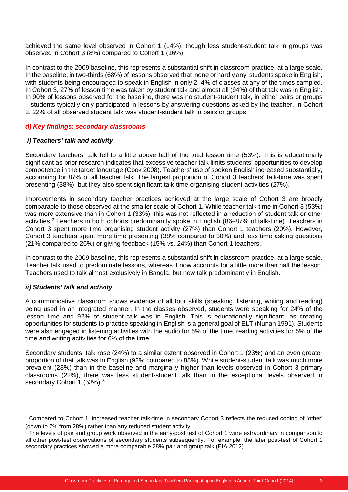achieved the same level observed in Cohort 1 (14%), though less student-student talk in groups was observed in Cohort 3 (8%) compared to Cohort 1 (16%).

In contrast to the 2009 baseline, this represents a substantial shift in classroom practice, at a large scale. In the baseline, in two-thirds (68%) of lessons observed that 'none or hardly any' students spoke in English, with students being encouraged to speak in English in only 2–4% of classes at any of the times sampled. In Cohort 3, 27% of lesson time was taken by student talk and almost all (94%) of that talk was in English. In 90% of lessons observed for the baseline, there was no student-student talk, in either pairs or groups – students typically only participated in lessons by answering questions asked by the teacher. In Cohort 3, 22% of all observed student talk was student-student talk in pairs or groups.

#### *d) Key findings: secondary classrooms*

#### *i) Teachers' talk and activity*

Secondary teachers' talk fell to a little above half of the total lesson time (53%). This is educationally significant as prior research indicates that excessive teacher talk limits students' opportunities to develop competence in the target language (Cook 2008). Teachers' use of spoken English increased substantially, accounting for 87% of all teacher talk. The largest proportion of Cohort 3 teachers' talk-time was spent presenting (38%), but they also spent significant talk-time organising student activities (27%).

Improvements in secondary teacher practices achieved at the large scale of Cohort 3 are broadly comparable to those observed at the smaller scale of Cohort 1. While teacher talk-time in Cohort 3 (53%) was more extensive than in Cohort 1 (33%), this was not reflected in a reduction of student talk or other activities. [2](#page-4-0) Teachers in both cohorts predominantly spoke in English (86–87% of talk-time). Teachers in Cohort 3 spent more time organising student activity (27%) than Cohort 1 teachers (20%). However, Cohort 3 teachers spent more time presenting (38% compared to 30%) and less time asking questions (21% compared to 26%) or giving feedback (15% *vs*. 24%) than Cohort 1 teachers.

In contrast to the 2009 baseline, this represents a substantial shift in classroom practice, at a large scale. Teacher talk used to predominate lessons, whereas it now accounts for a little more than half the lesson. Teachers used to talk almost exclusively in Bangla, but now talk predominantly in English.

#### *ii) Students' talk and activity*

 $\ddot{\phantom{a}}$ 

A communicative classroom shows evidence of all four skills (speaking, listening, writing and reading) being used in an integrated manner. In the classes observed, students were speaking for 24% of the lesson time and 92% of student talk was in English. This is educationally significant, as creating opportunities for students to practise speaking in English is a general goal of ELT (Nunan 1991). Students were also engaged in listening activities with the audio for 5% of the time, reading activities for 5% of the time and writing activities for 6% of the time.

Secondary students' talk rose (24%) to a similar extent observed in Cohort 1 (23%) and an even greater proportion of that talk was in English (92% compared to 88%). While student-student talk was much more prevalent (23%) than in the baseline and marginally higher than levels observed in Cohort 3 primary classrooms (22%), there was less student-student talk than in the exceptional levels observed in secondary Cohort 1 (5[3](#page-4-1)%).<sup>3</sup>

<span id="page-4-0"></span><sup>2</sup> Compared to Cohort 1, increased teacher talk-time in secondary Cohort 3 reflects the reduced coding of 'other' (down to 7% from 28%) rather than any reduced student activity.

<span id="page-4-1"></span> $3$  The levels of pair and group work observed in the early-post test of Cohort 1 were extraordinary in comparison to all other post-test observations of secondary students subsequently. For example, the later post-test of Cohort 1 secondary practices showed a more comparable 28% pair and group talk (EIA 2012).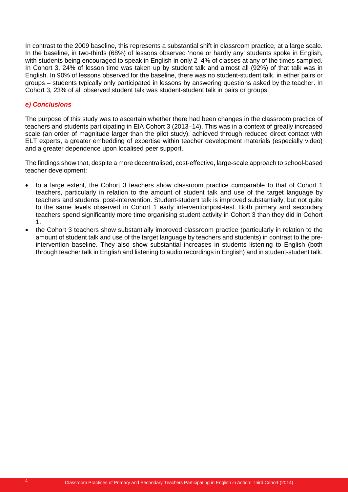In contrast to the 2009 baseline, this represents a substantial shift in classroom practice, at a large scale. In the baseline, in two-thirds (68%) of lessons observed 'none or hardly any' students spoke in English, with students being encouraged to speak in English in only 2–4% of classes at any of the times sampled. In Cohort 3, 24% of lesson time was taken up by student talk and almost all (92%) of that talk was in English. In 90% of lessons observed for the baseline, there was no student-student talk, in either pairs or groups – students typically only participated in lessons by answering questions asked by the teacher. In Cohort 3, 23% of all observed student talk was student-student talk in pairs or groups.

#### *e) Conclusions*

The purpose of this study was to ascertain whether there had been changes in the classroom practice of teachers and students participating in EIA Cohort 3 (2013–14). This was in a context of greatly increased scale (an order of magnitude larger than the pilot study), achieved through reduced direct contact with ELT experts, a greater embedding of expertise within teacher development materials (especially video) and a greater dependence upon localised peer support.

The findings show that, despite a more decentralised, cost-effective, large-scale approach to school-based teacher development:

- to a large extent, the Cohort 3 teachers show classroom practice comparable to that of Cohort 1 teachers, particularly in relation to the amount of student talk and use of the target language by teachers and students, post-intervention. Student-student talk is improved substantially, but not quite to the same levels observed in Cohort 1 early interventionpost-test. Both primary and secondary teachers spend significantly more time organising student activity in Cohort 3 than they did in Cohort 1.
- the Cohort 3 teachers show substantially improved classroom practice (particularly in relation to the amount of student talk and use of the target language by teachers and students) in contrast to the preintervention baseline. They also show substantial increases in students listening to English (both through teacher talk in English and listening to audio recordings in English) and in student-student talk.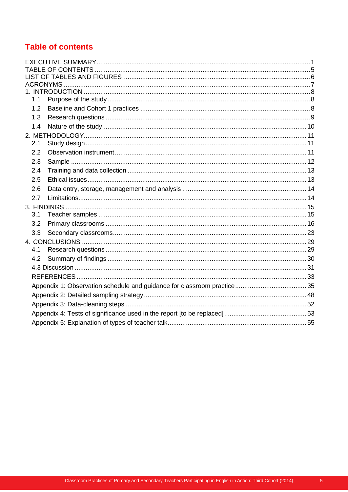# **Table of contents**

| 1.1 |  |  |  |  |  |  |
|-----|--|--|--|--|--|--|
| 1.2 |  |  |  |  |  |  |
| 1.3 |  |  |  |  |  |  |
| 1.4 |  |  |  |  |  |  |
|     |  |  |  |  |  |  |
| 2.1 |  |  |  |  |  |  |
| 2.2 |  |  |  |  |  |  |
| 2.3 |  |  |  |  |  |  |
| 2.4 |  |  |  |  |  |  |
| 2.5 |  |  |  |  |  |  |
| 2.6 |  |  |  |  |  |  |
| 2.7 |  |  |  |  |  |  |
|     |  |  |  |  |  |  |
| 3.1 |  |  |  |  |  |  |
| 3.2 |  |  |  |  |  |  |
| 3.3 |  |  |  |  |  |  |
|     |  |  |  |  |  |  |
| 4.1 |  |  |  |  |  |  |
| 4.2 |  |  |  |  |  |  |
|     |  |  |  |  |  |  |
|     |  |  |  |  |  |  |
|     |  |  |  |  |  |  |
|     |  |  |  |  |  |  |
|     |  |  |  |  |  |  |
|     |  |  |  |  |  |  |
|     |  |  |  |  |  |  |
|     |  |  |  |  |  |  |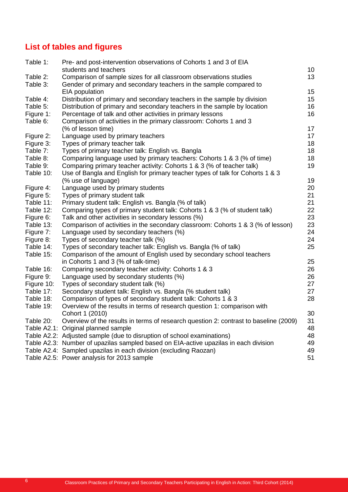# **List of tables and figures**

| Table 1:   | Pre- and post-intervention observations of Cohorts 1 and 3 of EIA                    |    |
|------------|--------------------------------------------------------------------------------------|----|
|            | students and teachers                                                                | 10 |
| Table 2:   | Comparison of sample sizes for all classroom observations studies                    | 13 |
| Table 3:   | Gender of primary and secondary teachers in the sample compared to                   |    |
|            | EIA population                                                                       | 15 |
| Table 4:   | Distribution of primary and secondary teachers in the sample by division             | 15 |
| Table 5:   | Distribution of primary and secondary teachers in the sample by location             | 16 |
| Figure 1:  | Percentage of talk and other activities in primary lessons                           | 16 |
| Table 6:   | Comparison of activities in the primary classroom: Cohorts 1 and 3                   |    |
|            | (% of lesson time)                                                                   | 17 |
| Figure 2:  | Language used by primary teachers                                                    | 17 |
| Figure 3:  | Types of primary teacher talk                                                        | 18 |
| Table 7:   | Types of primary teacher talk: English vs. Bangla                                    | 18 |
| Table 8:   | Comparing language used by primary teachers: Cohorts 1 & 3 (% of time)               | 18 |
| Table 9:   | Comparing primary teacher activity: Cohorts 1 & 3 (% of teacher talk)                | 19 |
| Table 10:  | Use of Bangla and English for primary teacher types of talk for Cohorts 1 & 3        |    |
|            | (% use of language)                                                                  | 19 |
| Figure 4:  | Language used by primary students                                                    | 20 |
| Figure 5:  | Types of primary student talk                                                        | 21 |
| Table 11:  | Primary student talk: English vs. Bangla (% of talk)                                 | 21 |
| Table 12:  | Comparing types of primary student talk: Cohorts 1 & 3 (% of student talk)           | 22 |
| Figure 6:  | Talk and other activities in secondary lessons (%)                                   | 23 |
| Table 13:  | Comparison of activities in the secondary classroom: Cohorts 1 & 3 (% of lesson)     | 23 |
| Figure 7:  | Language used by secondary teachers (%)                                              | 24 |
| Figure 8:  | Types of secondary teacher talk (%)                                                  | 24 |
| Table 14:  | Types of secondary teacher talk: English vs. Bangla (% of talk)                      | 25 |
| Table 15:  | Comparison of the amount of English used by secondary school teachers                |    |
|            | in Cohorts 1 and 3 (% of talk-time)                                                  | 25 |
| Table 16:  | Comparing secondary teacher activity: Cohorts 1 & 3                                  | 26 |
| Figure 9:  | Language used by secondary students (%)                                              | 26 |
| Figure 10: | Types of secondary student talk (%)                                                  | 27 |
| Table 17:  | Secondary student talk: English vs. Bangla (% student talk)                          | 27 |
| Table 18:  | Comparison of types of secondary student talk: Cohorts 1 & 3                         | 28 |
| Table 19:  | Overview of the results in terms of research question 1: comparison with             |    |
|            | Cohort 1 (2010)                                                                      | 30 |
| Table 20:  | Overview of the results in terms of research question 2: contrast to baseline (2009) | 31 |
|            | Table A2.1: Original planned sample                                                  | 48 |
|            | Table A2.2: Adjusted sample (due to disruption of school examinations)               | 48 |
|            | Table A2.3: Number of upazilas sampled based on EIA-active upazilas in each division | 49 |
|            | Table A2.4: Sampled upazilas in each division (excluding Raozan)                     | 49 |
|            | Table A2.5: Power analysis for 2013 sample                                           | 51 |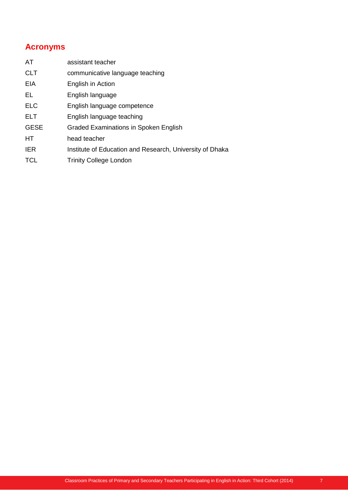# **Acronyms**

| AT          | assistant teacher                                        |
|-------------|----------------------------------------------------------|
| <b>CLT</b>  | communicative language teaching                          |
| EIA         | English in Action                                        |
| EL          | English language                                         |
| <b>ELC</b>  | English language competence                              |
| <b>ELT</b>  | English language teaching                                |
| <b>GESE</b> | Graded Examinations in Spoken English                    |
| HТ          | head teacher                                             |
| <b>IER</b>  | Institute of Education and Research, University of Dhaka |
| <b>TCL</b>  | <b>Trinity College London</b>                            |
|             |                                                          |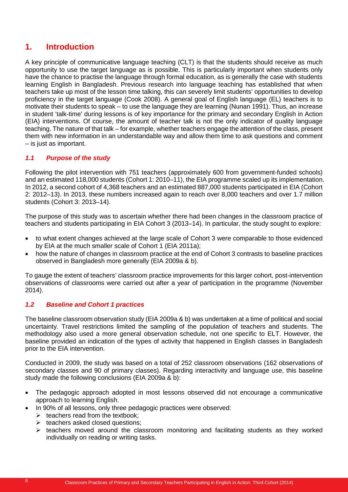## **1. Introduction**

A key principle of communicative language teaching (CLT) is that the students should receive as much opportunity to use the target language as is possible. This is particularly important when students only have the chance to practise the language through formal education, as is generally the case with students learning English in Bangladesh. Previous research into language teaching has established that when teachers take up most of the lesson time talking, this can severely limit students' opportunities to develop proficiency in the target language (Cook 2008). A general goal of English language (EL) teachers is to motivate their students to speak – to use the language they are learning (Nunan 1991). Thus, an increase in student 'talk-time' during lessons is of key importance for the primary and secondary English in Action (EIA) interventions. Of course, the amount of teacher talk is not the only indicator of quality language teaching. The nature of that talk – for example, whether teachers engage the attention of the class, present them with new information in an understandable way and allow them time to ask questions and comment – is just as important.

## *1.1 Purpose of the study*

Following the pilot intervention with 751 teachers (approximately 600 from government-funded schools) and an estimated 118,000 students (Cohort 1: 2010–11), the EIA programme scaled up its implementation. In 2012, a second cohort of 4,368 teachers and an estimated 887,000 students participated in EIA (Cohort 2: 2012–13). In 2013, these numbers increased again to reach over 8,000 teachers and over 1.7 million students (Cohort 3: 2013–14).

The purpose of this study was to ascertain whether there had been changes in the classroom practice of teachers and students participating in EIA Cohort 3 (2013–14). In particular, the study sought to explore:

- to what extent changes achieved at the large scale of Cohort 3 were comparable to those evidenced by EIA at the much smaller scale of Cohort 1 (EIA 2011a);
- how the nature of changes in classroom practice at the end of Cohort 3 contrasts to baseline practices observed in Bangladesh more generally (EIA 2009a & b).

To gauge the extent of teachers' classroom practice improvements for this larger cohort, post-intervention observations of classrooms were carried out after a year of participation in the programme (November 2014).

## *1.2 Baseline and Cohort 1 practices*

The baseline classroom observation study (EIA 2009a & b) was undertaken at a time of political and social uncertainty. Travel restrictions limited the sampling of the population of teachers and students. The methodology also used a more general observation schedule, not one specific to ELT. However, the baseline provided an indication of the types of activity that happened in English classes in Bangladesh prior to the EIA intervention.

Conducted in 2009, the study was based on a total of 252 classroom observations (162 observations of secondary classes and 90 of primary classes). Regarding interactivity and language use, this baseline study made the following conclusions (EIA 2009a & b):

- The pedagogic approach adopted in most lessons observed did not encourage a communicative approach to learning English.
	- In 90% of all lessons, only three pedagogic practices were observed:
		- $\triangleright$  teachers read from the textbook:
		- $\triangleright$  teachers asked closed questions;
		- $\triangleright$  teachers moved around the classroom monitoring and facilitating students as they worked individually on reading or writing tasks.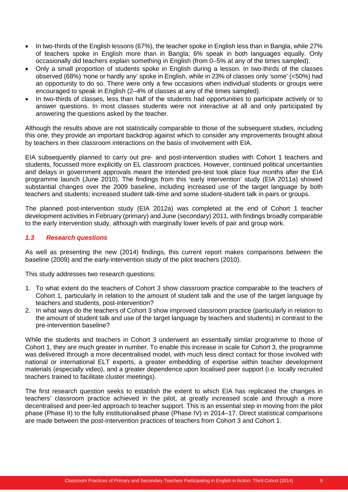- In two-thirds of the English lessons (67%), the teacher spoke in English less than in Bangla, while 27% of teachers spoke in English more than in Bangla; 6% speak in both languages equally. Only occasionally did teachers explain something in English (from 0–5% at any of the times sampled).
- Only a small proportion of students spoke in English during a lesson. In two-thirds of the classes observed (68%) 'none or hardly any' spoke in English, while in 23% of classes only 'some' (<50%) had an opportunity to do so. There were only a few occasions when individual students or groups were encouraged to speak in English (2–4% of classes at any of the times sampled).
- In two-thirds of classes, less than half of the students had opportunities to participate actively or to answer questions. In most classes students were not interactive at all and only participated by answering the questions asked by the teacher.

Although the results above are not statistically comparable to those of the subsequent studies, including this one, they provide an important backdrop against which to consider any improvements brought about by teachers in their classroom interactions on the basis of involvement with EIA.

EIA subsequently planned to carry out pre- and post-intervention studies with Cohort 1 teachers and students, focussed more explicitly on EL classroom practices. However, continued political uncertainties and delays in government approvals meant the intended pre-test took place four months after the EIA programme launch (June 2010). The findings from this 'early intervention' study (EIA 2011a) showed substantial changes over the 2009 baseline, including increased use of the target language by both teachers and students; increased student talk-time and some student-student talk in pairs or groups.

The planned post-intervention study (EIA 2012a) was completed at the end of Cohort 1 teacher development activities in February (primary) and June (secondary) 2011, with findings broadly comparable to the early intervention study, although with marginally lower levels of pair and group work.

## *1.3 Research questions*

As well as presenting the new (2014) findings, this current report makes comparisons between the baseline (2009) and the early-intervention study of the pilot teachers (2010).

This study addresses two research questions:

- 1. To what extent do the teachers of Cohort 3 show classroom practice comparable to the teachers of Cohort 1, particularly in relation to the amount of student talk and the use of the target language by teachers and students, post-intervention?
- 2. In what ways do the teachers of Cohort 3 show improved classroom practice (particularly in relation to the amount of student talk and use of the target language by teachers and students) in contrast to the pre-intervention baseline?

While the students and teachers in Cohort 3 underwent an essentially similar programme to those of Cohort 1, they are much greater in number. To enable this increase in scale for Cohort 3, the programme was delivered through a more decentralised model, with much less direct contact for those involved with national or international ELT experts, a greater embedding of expertise within teacher development materials (especially video), and a greater dependence upon localised peer support (i.e. locally recruited teachers trained to facilitate cluster meetings).

The first research question seeks to establish the extent to which EIA has replicated the changes in teachers' classroom practice achieved in the pilot, at greatly increased scale and through a more decentralised and peer-led approach to teacher support. This is an essential step in moving from the pilot phase (Phase II) to the fully institutionalised phase (Phase IV) in 2014–17. Direct statistical comparisons are made between the post-intervention practices of teachers from Cohort 3 and Cohort 1.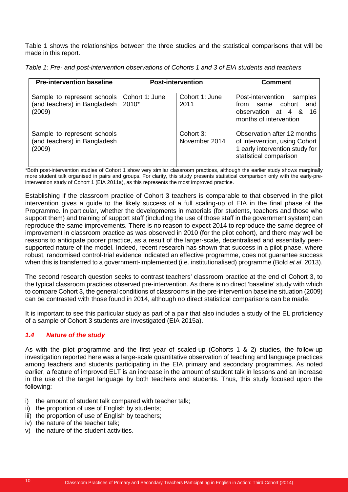Table 1 shows the relationships between the three studies and the statistical comparisons that will be made in this report.

| <b>Pre-intervention baseline</b>                                      |                           | <b>Post-intervention</b>   | <b>Comment</b>                                                                                                           |
|-----------------------------------------------------------------------|---------------------------|----------------------------|--------------------------------------------------------------------------------------------------------------------------|
| Sample to represent schools<br>(and teachers) in Bangladesh<br>(2009) | Cohort 1: June<br>$2010*$ | Cohort 1: June<br>2011     | Post-intervention<br>samples<br>same cohort<br>and<br>from<br>observation at 4 & 16<br>months of intervention            |
| Sample to represent schools<br>(and teachers) in Bangladesh<br>(2009) |                           | Cohort 3:<br>November 2014 | Observation after 12 months<br>of intervention, using Cohort<br>1 early intervention study for<br>statistical comparison |

\*Both post-intervention studies of Cohort 1 show very similar classroom practices, although the earlier study shows marginally more student talk organised in pairs and groups. For clarity, this study presents statistical comparison only with the early-preintervention study of Cohort 1 (EIA 2011a), as this represents the most improved practice.

Establishing if the classroom practice of Cohort 3 teachers is comparable to that observed in the pilot intervention gives a guide to the likely success of a full scaling-up of EIA in the final phase of the Programme. In particular, whether the developments in materials (for students, teachers and those who support them) and training of support staff (including the use of those staff in the government system) can reproduce the same improvements. There is no reason to expect 2014 to reproduce the same degree of improvement in classroom practice as was observed in 2010 (for the pilot cohort), and there may well be reasons to anticipate poorer practice, as a result of the larger-scale, decentralised and essentially peersupported nature of the model. Indeed, recent research has shown that success in a pilot phase, where robust, randomised control-trial evidence indicated an effective programme, does not guarantee success when this is transferred to a government-implemented (i.e. institutionalised) programme (Bold *et al*. 2013).

The second research question seeks to contrast teachers' classroom practice at the end of Cohort 3, to the typical classroom practices observed pre-intervention. As there is no direct 'baseline' study with which to compare Cohort 3, the general conditions of classrooms in the pre-intervention baseline situation (2009) can be contrasted with those found in 2014, although no direct statistical comparisons can be made.

It is important to see this particular study as part of a pair that also includes a study of the EL proficiency of a sample of Cohort 3 students are investigated (EIA 2015a).

## *1.4 Nature of the study*

As with the pilot programme and the first year of scaled-up (Cohorts 1 & 2) studies, the follow-up investigation reported here was a large-scale quantitative observation of teaching and language practices among teachers and students participating in the EIA primary and secondary programmes. As noted earlier, a feature of improved ELT is an increase in the amount of student talk in lessons and an increase in the use of the target language by both teachers and students. Thus, this study focused upon the following:

- i) the amount of student talk compared with teacher talk;
- ii) the proportion of use of English by students;
- iii) the proportion of use of English by teachers;
- iv) the nature of the teacher talk;
- v) the nature of the student activities.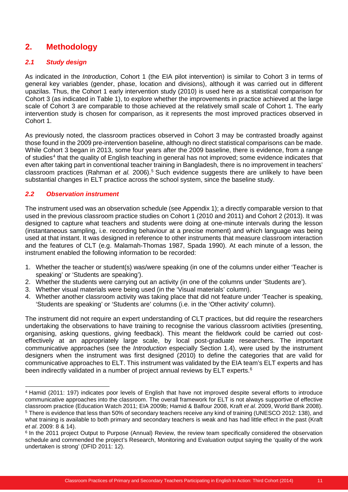## **2. Methodology**

## *2.1 Study design*

As indicated in the *Introduction*, Cohort 1 (the EIA pilot intervention) is similar to Cohort 3 in terms of general key variables (gender, phase, location and divisions), although it was carried out in different upazilas. Thus, the Cohort 1 early intervention study (2010) is used here as a statistical comparison for Cohort 3 (as indicated in Table 1), to explore whether the improvements in practice achieved at the large scale of Cohort 3 are comparable to those achieved at the relatively small scale of Cohort 1. The early intervention study is chosen for comparison, as it represents the most improved practices observed in Cohort 1.

As previously noted, the classroom practices observed in Cohort 3 may be contrasted broadly against those found in the 2009 pre-intervention baseline, although no direct statistical comparisons can be made. While Cohort 3 began in 2013, some four years after the 2009 baseline, there is evidence, from a range of studies<sup>[4](#page-12-0)</sup> that the quality of English teaching in general has not improved; some evidence indicates that even after taking part in conventional teacher training in Bangladesh, there is no improvement in teachers' classroom practices (Rahman *et al.* 2006). [5](#page-12-1) Such evidence suggests there are unlikely to have been substantial changes in ELT practice across the school system, since the baseline study.

## *2.2 Observation instrument*

The instrument used was an observation schedule (see Appendix 1); a directly comparable version to that used in the previous classroom practice studies on Cohort 1 (2010 and 2011) and Cohort 2 (2013). It was designed to capture what teachers and students were doing at one-minute intervals during the lesson (instantaneous sampling, i.e. recording behaviour at a precise moment) and which language was being used at that instant. It was designed in reference to other instruments that measure classroom interaction and the features of CLT (e.g. Malamah-Thomas 1987, Spada 1990). At each minute of a lesson, the instrument enabled the following information to be recorded:

- 1. Whether the teacher or student(s) was/were speaking (in one of the columns under either 'Teacher is speaking' or 'Students are speaking').
- 2. Whether the students were carrying out an activity (in one of the columns under 'Students are').
- 3. Whether visual materials were being used (in the 'Visual materials' column).
- 4. Whether another classroom activity was taking place that did not feature under 'Teacher is speaking, 'Students are speaking' or 'Students are' columns (i.e. in the 'Other activity' column).

The instrument did not require an expert understanding of CLT practices, but did require the researchers undertaking the observations to have training to recognise the various classroom activities (presenting, organising, asking questions, giving feedback). This meant the fieldwork could be carried out costeffectively at an appropriately large scale, by local post-graduate researchers. The important communicative approaches (see the *Introduction* especially Section 1.4), were used by the instrument designers when the instrument was first designed (2010) to define the categories that are valid for communicative approaches to ELT. This instrument was validated by the EIA team's ELT experts and has been indirectly validated in a number of project annual reviews by ELT experts. [6](#page-12-2)

<span id="page-12-0"></span> <sup>4</sup> Hamid (2011: 197) indicates poor levels of English that have not improved despite several efforts to introduce communicative approaches into the classroom. The overall framework for ELT is not always supportive of effective classroom practice (Education Watch 2011; EIA 2009b; Hamid & Balfour 2008, Kraft *et al*. 2009, World Bank 2008). <sup>5</sup> There is evidence that less than 50% of secondary teachers receive any kind of training (UNESCO 2012: 138), and what training is available to both primary and secondary teachers is weak and has had little effect in the past (Kraft *et al*. 2009: 8 & 14).

<span id="page-12-2"></span><span id="page-12-1"></span><sup>6</sup> In the 2011 project Output to Purpose (Annual) Review, the review team specifically considered the observation schedule and commended the project's Research, Monitoring and Evaluation output saying the 'quality of the work undertaken is strong' (DFID 2011: 12).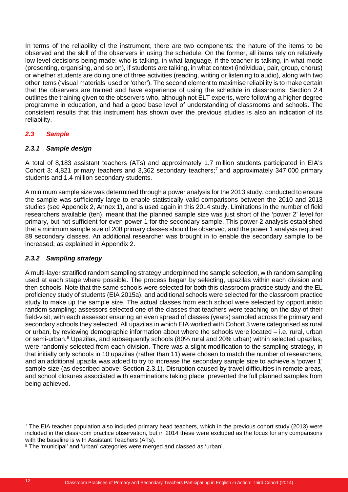In terms of the reliability of the instrument, there are two components: the nature of the items to be observed and the skill of the observers in using the schedule. On the former, all items rely on relatively low-level decisions being made: who is talking, in what language, if the teacher is talking, in what mode (presenting, organising, and so on), if students are talking, in what context (individual, pair, group, chorus) or whether students are doing one of three activities (reading, writing or listening to audio), along with two other items ('visual materials' used or 'other'). The second element to maximise reliability is to make certain that the observers are trained and have experience of using the schedule in classrooms. Section 2.4 outlines the training given to the observers who, although not ELT experts, were following a higher degree programme in education, and had a good base level of understanding of classrooms and schools. The consistent results that this instrument has shown over the previous studies is also an indication of its reliability.

## *2.3 Sample*

## *2.3.1 Sample design*

A total of 8,183 assistant teachers (ATs) and approximately 1.7 million students participated in EIA's Cohort 3: 4,821 primary teachers and 3,362 secondary teachers;[7](#page-13-0) and approximately 347,000 primary students and 1.4 million secondary students.

A minimum sample size was determined through a power analysis for the 2013 study, conducted to ensure the sample was sufficiently large to enable statistically valid comparisons between the 2010 and 2013 studies (see Appendix 2, Annex 1), and is used again in this 2014 study. Limitations in the number of field researchers available (ten), meant that the planned sample size was just short of the 'power 2' level for primary, but not sufficient for even power 1 for the secondary sample. This power 2 analysis established that a minimum sample size of 208 primary classes should be observed, and the power 1 analysis required 89 secondary classes. An additional researcher was brought in to enable the secondary sample to be increased, as explained in Appendix 2.

## *2.3.2 Sampling strategy*

A multi-layer stratified random sampling strategy underpinned the sample selection, with random sampling used at each stage where possible. The process began by selecting, upazilas within each division and then schools. Note that the same schools were selected for both this classroom practice study and the EL proficiency study of students (EIA 2015a), and additional schools were selected for the classroom practice study to make up the sample size. The actual classes from each school were selected by opportunistic random sampling: assessors selected one of the classes that teachers were teaching on the day of their field-visit, with each assessor ensuring an even spread of classes (years) sampled across the primary and secondary schools they selected. All upazilas in which EIA worked with Cohort 3 were categorised as rural or urban, by reviewing demographic information about where the schools were located – i.e. rural, urban or semi-urban.<sup>[8](#page-13-1)</sup> Upazilas, and subsequently schools (80% rural and 20% urban) within selected upazilas, were randomly selected from each division. There was a slight modification to the sampling strategy, in that initially only schools in 10 upazilas (rather than 11) were chosen to match the number of researchers, and an additional upazila was added to try to increase the secondary sample size to achieve a 'power 1' sample size (as described above; Section 2.3.1). Disruption caused by travel difficulties in remote areas, and school closures associated with examinations taking place, prevented the full planned samples from being achieved.

<span id="page-13-0"></span><sup>&</sup>lt;sup>7</sup> The EIA teacher population also included primary head teachers, which in the previous cohort study (2013) were included in the classroom practice observation, but in 2014 these were excluded as the focus for any comparisons with the baseline is with Assistant Teachers (ATs).

<span id="page-13-1"></span><sup>8</sup> The 'municipal' and 'urban' categories were merged and classed as 'urban'.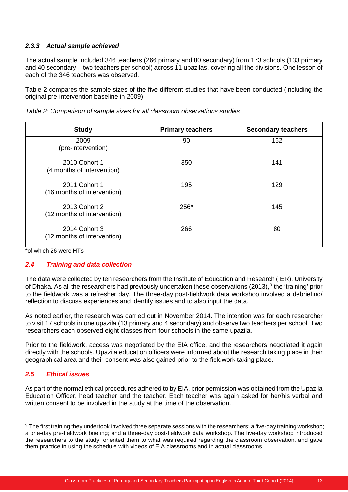## *2.3.3 Actual sample achieved*

The actual sample included 346 teachers (266 primary and 80 secondary) from 173 schools (133 primary and 40 secondary – two teachers per school) across 11 upazilas, covering all the divisions. One lesson of each of the 346 teachers was observed.

Table 2 compares the sample sizes of the five different studies that have been conducted (including the original pre-intervention baseline in 2009).

| <b>Study</b>                                 | <b>Primary teachers</b> | <b>Secondary teachers</b> |
|----------------------------------------------|-------------------------|---------------------------|
| 2009<br>(pre-intervention)                   | 90                      | 162                       |
| 2010 Cohort 1<br>(4 months of intervention)  | 350                     | 141                       |
| 2011 Cohort 1<br>(16 months of intervention) | 195                     | 129                       |
| 2013 Cohort 2<br>(12 months of intervention) | 256*                    | 145                       |
| 2014 Cohort 3<br>(12 months of intervention) | 266                     | 80                        |

*Table 2: Comparison of sample sizes for all classroom observations studies*

\*of which 26 were HTs

## *2.4 Training and data collection*

The data were collected by ten researchers from the Institute of Education and Research (IER), University of Dhaka. As all the researchers had previously undertaken these observations (2013),<sup>[9](#page-14-0)</sup> the 'training' prior to the fieldwork was a refresher day. The three-day post-fieldwork data workshop involved a debriefing/ reflection to discuss experiences and identify issues and to also input the data.

As noted earlier, the research was carried out in November 2014. The intention was for each researcher to visit 17 schools in one upazila (13 primary and 4 secondary) and observe two teachers per school. Two researchers each observed eight classes from four schools in the same upazila.

Prior to the fieldwork, access was negotiated by the EIA office, and the researchers negotiated it again directly with the schools. Upazila education officers were informed about the research taking place in their geographical area and their consent was also gained prior to the fieldwork taking place.

## *2.5 Ethical issues*

As part of the normal ethical procedures adhered to by EIA, prior permission was obtained from the Upazila Education Officer, head teacher and the teacher. Each teacher was again asked for her/his verbal and written consent to be involved in the study at the time of the observation.

<span id="page-14-0"></span> <sup>9</sup> The first training they undertook involved three separate sessions with the researchers: a five-day training workshop; a one-day pre-fieldwork briefing; and a three-day post-fieldwork data workshop. The five-day workshop introduced the researchers to the study, oriented them to what was required regarding the classroom observation, and gave them practice in using the schedule with videos of EIA classrooms and in actual classrooms.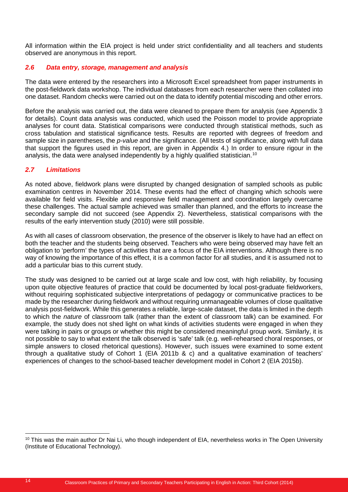All information within the EIA project is held under strict confidentiality and all teachers and students observed are anonymous in this report.

### *2.6 Data entry, storage, management and analysis*

The data were entered by the researchers into a Microsoft Excel spreadsheet from paper instruments in the post-fieldwork data workshop. The individual databases from each researcher were then collated into one dataset. Random checks were carried out on the data to identify potential miscoding and other errors.

Before the analysis was carried out, the data were cleaned to prepare them for analysis (see Appendix 3 for details). Count data analysis was conducted, which used the Poisson model to provide appropriate analyses for count data. Statistical comparisons were conducted through statistical methods, such as cross tabulation and statistical significance tests. Results are reported with degrees of freedom and sample size in parentheses, the *p-value* and the significance. (All tests of significance, along with full data that support the figures used in this report, are given in Appendix 4.) In order to ensure rigour in the analysis, the data were analysed independently by a highly qualified statistician.<sup>[10](#page-15-0)</sup>

## *2.7 Limitations*

As noted above, fieldwork plans were disrupted by changed designation of sampled schools as public examination centres in November 2014. These events had the effect of changing which schools were available for field visits. Flexible and responsive field management and coordination largely overcame these challenges. The actual sample achieved was smaller than planned, and the efforts to increase the secondary sample did not succeed (see Appendix 2). Nevertheless, statistical comparisons with the results of the early intervention study (2010) were still possible.

As with all cases of classroom observation, the presence of the observer is likely to have had an effect on both the teacher and the students being observed. Teachers who were being observed may have felt an obligation to 'perform' the types of activities that are a focus of the EIA interventions. Although there is no way of knowing the importance of this effect, it is a common factor for all studies, and it is assumed not to add a particular bias to this current study.

The study was designed to be carried out at large scale and low cost, with high reliability, by focusing upon quite objective features of practice that could be documented by local post-graduate fieldworkers, without requiring sophisticated subjective interpretations of pedagogy or communicative practices to be made by the researcher during fieldwork and without requiring unmanageable volumes of close qualitative analysis post-fieldwork. While this generates a reliable, large-scale dataset, the data is limited in the depth to which the *nature* of classroom talk (rather than the extent of classroom talk) can be examined. For example, the study does not shed light on what kinds of activities students were engaged in when they were talking in pairs or groups or whether this might be considered meaningful group work. Similarly, it is not possible to say to what extent the talk observed is 'safe' talk (e.g. well-rehearsed choral responses, or simple answers to closed rhetorical questions). However, such issues were examined to some extent through a qualitative study of Cohort 1 (EIA 2011b & c) and a qualitative examination of teachers' experiences of changes to the school-based teacher development model in Cohort 2 (EIA 2015b).

<span id="page-15-0"></span><sup>&</sup>lt;sup>10</sup> This was the main author Dr Nai Li, who though independent of EIA, nevertheless works in The Open University (Institute of Educational Technology).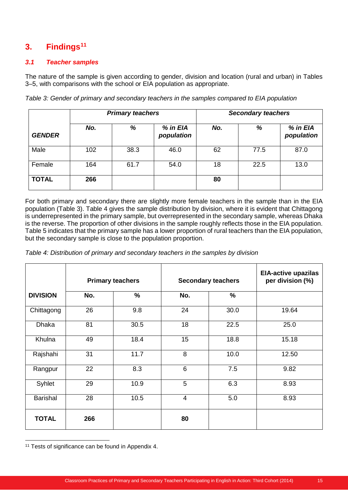## **3. Findings[11](#page-16-0)**

## *3.1 Teacher samples*

The nature of the sample is given according to gender, division and location (rural and urban) in Tables 3–5, with comparisons with the school or EIA population as appropriate.

|               |     | <b>Primary teachers</b> |                        | <b>Secondary teachers</b> |      |                        |
|---------------|-----|-------------------------|------------------------|---------------------------|------|------------------------|
| <b>GENDER</b> | No. | %                       | % in EIA<br>population | No.                       | %    | % in EIA<br>population |
| Male          | 102 | 38.3                    | 46.0                   | 62                        | 77.5 | 87.0                   |
| Female        | 164 | 61.7                    | 54.0                   | 18                        | 22.5 | 13.0                   |
| <b>TOTAL</b>  | 266 |                         |                        | 80                        |      |                        |

*Table 3: Gender of primary and secondary teachers in the samples compared to EIA population*

For both primary and secondary there are slightly more female teachers in the sample than in the EIA population (Table 3). Table 4 gives the sample distribution by division, where it is evident that Chittagong is underrepresented in the primary sample, but overrepresented in the secondary sample, whereas Dhaka is the reverse. The proportion of other divisions in the sample roughly reflects those in the EIA population. Table 5 indicates that the primary sample has a lower proportion of rural teachers than the EIA population, but the secondary sample is close to the population proportion.

|                 | <b>Primary teachers</b> |      |                |      |       | <b>Secondary teachers</b> | <b>EIA-active upazilas</b><br>per division (%) |
|-----------------|-------------------------|------|----------------|------|-------|---------------------------|------------------------------------------------|
| <b>DIVISION</b> | No.                     | $\%$ | No.            | $\%$ |       |                           |                                                |
| Chittagong      | 26                      | 9.8  | 24             | 30.0 | 19.64 |                           |                                                |
| <b>Dhaka</b>    | 81                      | 30.5 | 18             | 22.5 | 25.0  |                           |                                                |
| Khulna          | 49                      | 18.4 | 15             | 18.8 | 15.18 |                           |                                                |
| Rajshahi        | 31                      | 11.7 | 8              | 10.0 | 12.50 |                           |                                                |
| Rangpur         | 22                      | 8.3  | 6              | 7.5  | 9.82  |                           |                                                |
| Syhlet          | 29                      | 10.9 | 5              | 6.3  | 8.93  |                           |                                                |
| <b>Barishal</b> | 28                      | 10.5 | $\overline{4}$ | 5.0  | 8.93  |                           |                                                |
| <b>TOTAL</b>    | 266                     |      | 80             |      |       |                           |                                                |

*Table 4: Distribution of primary and secondary teachers in the samples by division*

<span id="page-16-0"></span><sup>&</sup>lt;sup>11</sup> Tests of significance can be found in Appendix 4.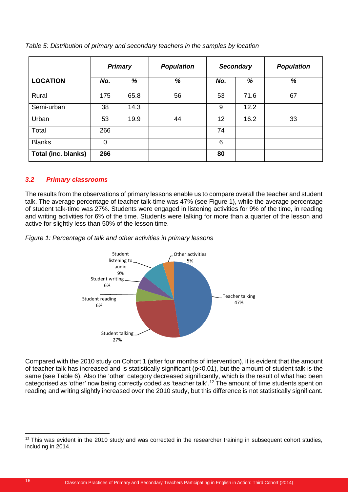|                            |          | <b>Primary</b> | <b>Population</b> |     | <b>Secondary</b> | <b>Population</b> |
|----------------------------|----------|----------------|-------------------|-----|------------------|-------------------|
| <b>LOCATION</b>            | No.      | %              | %                 | No. | %                | %                 |
| Rural                      | 175      | 65.8           | 56                | 53  | 71.6             | 67                |
| Semi-urban                 | 38       | 14.3           |                   | 9   | 12.2             |                   |
| Urban                      | 53       | 19.9           | 44                | 12  | 16.2             | 33                |
| Total                      | 266      |                |                   | 74  |                  |                   |
| <b>Blanks</b>              | $\Omega$ |                |                   | 6   |                  |                   |
| <b>Total (inc. blanks)</b> | 266      |                |                   | 80  |                  |                   |

*Table 5: Distribution of primary and secondary teachers in the samples by location*

## *3.2 Primary classrooms*

The results from the observations of primary lessons enable us to compare overall the teacher and student talk. The average percentage of teacher talk-time was 47% (see Figure 1), while the average percentage of student talk-time was 27%. Students were engaged in listening activities for 9% of the time, in reading and writing activities for 6% of the time. Students were talking for more than a quarter of the lesson and active for slightly less than 50% of the lesson time.

*Figure 1: Percentage of talk and other activities in primary lessons*



Compared with the 2010 study on Cohort 1 (after four months of intervention), it is evident that the amount of teacher talk has increased and is statistically significant (p<0.01), but the amount of student talk is the same (see Table 6). Also the 'other' category decreased significantly, which is the result of what had been categorised as 'other' now being correctly coded as 'teacher talk'.<sup>[12](#page-17-0)</sup> The amount of time students spent on reading and writing slightly increased over the 2010 study, but this difference is not statistically significant.

<span id="page-17-0"></span><sup>&</sup>lt;sup>12</sup> This was evident in the 2010 study and was corrected in the researcher training in subsequent cohort studies, including in 2014.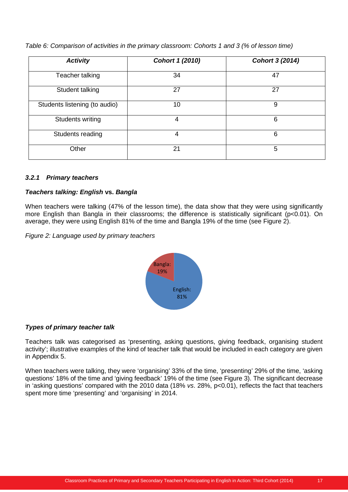| <b>Activity</b>               | Cohort 1 (2010) | <b>Cohort 3 (2014)</b> |
|-------------------------------|-----------------|------------------------|
| Teacher talking               | 34              | 47                     |
| Student talking               | 27              | 27                     |
| Students listening (to audio) | 10              | 9                      |
| Students writing              | 4               | 6                      |
| Students reading              | 4               | 6                      |
| Other                         | 21              | 5                      |

*Table 6: Comparison of activities in the primary classroom: Cohorts 1 and 3 (% of lesson time)*

## *3.2.1 Primary teachers*

#### *Teachers talking: English* **vs.** *Bangla*

When teachers were talking (47% of the lesson time), the data show that they were using significantly more English than Bangla in their classrooms; the difference is statistically significant (p<0.01). On average, they were using English 81% of the time and Bangla 19% of the time (see Figure 2).

*Figure 2: Language used by primary teachers* 



#### *Types of primary teacher talk*

Teachers talk was categorised as 'presenting, asking questions, giving feedback, organising student activity'; illustrative examples of the kind of teacher talk that would be included in each category are given in Appendix 5.

When teachers were talking, they were 'organising' 33% of the time, 'presenting' 29% of the time, 'asking questions' 18% of the time and 'giving feedback' 19% of the time (see Figure 3). The significant decrease in 'asking questions' compared with the 2010 data (18% *vs*. 28%, p<0.01), reflects the fact that teachers spent more time 'presenting' and 'organising' in 2014.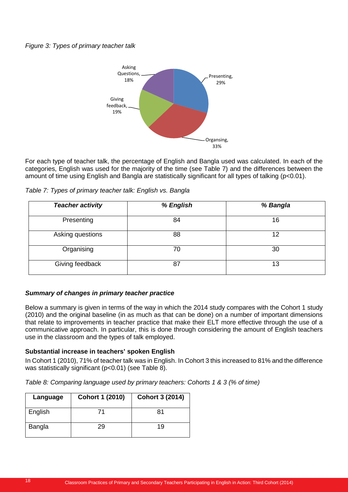## *Figure 3: Types of primary teacher talk*



For each type of teacher talk, the percentage of English and Bangla used was calculated. In each of the categories, English was used for the majority of the time (see Table 7) and the differences between the amount of time using English and Bangla are statistically significant for all types of talking (p<0.01).

*Table 7: Types of primary teacher talk: English vs. Bangla* 

| <b>Teacher activity</b> | % English | % Bangla |
|-------------------------|-----------|----------|
| Presenting              | 84        | 16       |
| Asking questions        | 88        | 12       |
| Organising              | 70        | 30       |
| Giving feedback         | 87        | 13       |

## *Summary of changes in primary teacher practice*

Below a summary is given in terms of the way in which the 2014 study compares with the Cohort 1 study (2010) and the original baseline (in as much as that can be done) on a number of important dimensions that relate to improvements in teacher practice that make their ELT more effective through the use of a communicative approach. In particular, this is done through considering the amount of English teachers use in the classroom and the types of talk employed.

## **Substantial increase in teachers' spoken English**

In Cohort 1 (2010), 71% of teacher talk was in English. In Cohort 3 this increased to 81% and the difference was statistically significant (p<0.01) (see Table 8).

*Table 8: Comparing language used by primary teachers: Cohorts 1 & 3 (% of time)*

| Language | <b>Cohort 1 (2010)</b> | <b>Cohort 3 (2014)</b> |
|----------|------------------------|------------------------|
| English  |                        |                        |
| Bangla   | 29                     | 19                     |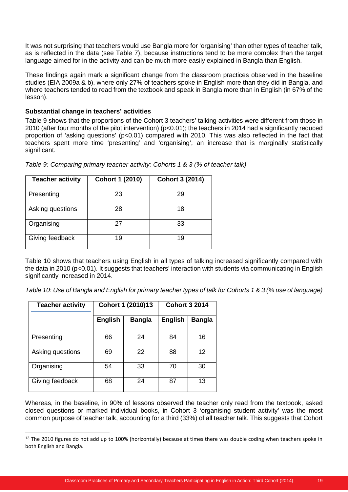It was not surprising that teachers would use Bangla more for 'organising' than other types of teacher talk, as is reflected in the data (see Table 7), because instructions tend to be more complex than the target language aimed for in the activity and can be much more easily explained in Bangla than English.

These findings again mark a significant change from the classroom practices observed in the baseline studies (EIA 2009a & b), where only 27% of teachers spoke in English more than they did in Bangla, and where teachers tended to read from the textbook and speak in Bangla more than in English (in 67% of the lesson).

## **Substantial change in teachers' activities**

Table 9 shows that the proportions of the Cohort 3 teachers' talking activities were different from those in 2010 (after four months of the pilot intervention) (p<0.01); the teachers in 2014 had a significantly reduced proportion of 'asking questions' (p<0.01) compared with 2010. This was also reflected in the fact that teachers spent more time 'presenting' and 'organising', an increase that is marginally statistically significant.

*Table 9: Comparing primary teacher activity: Cohorts 1 & 3 (% of teacher talk)*

| <b>Teacher activity</b> | <b>Cohort 1 (2010)</b> | <b>Cohort 3 (2014)</b> |
|-------------------------|------------------------|------------------------|
| Presenting              | 23                     | 29                     |
| Asking questions        | 28                     | 18                     |
| Organising              | 27                     | 33                     |
| Giving feedback         | 19                     | 19                     |

Table 10 shows that teachers using English in all types of talking increased significantly compared with the data in 2010 (p<0.01). It suggests that teachers' interaction with students via communicating in English significantly increased in 2014.

*Table 10: Use of Bangla and English for primary teacher types of talk for Cohorts 1 & 3 (% use of language)*

| <b>Teacher activity</b> | Cohort 1 (2010)13 |               | <b>Cohort 3 2014</b> |               |
|-------------------------|-------------------|---------------|----------------------|---------------|
|                         | <b>English</b>    | <b>Bangla</b> | <b>English</b>       | <b>Bangla</b> |
| Presenting              | 66                | 24            | 84                   | 16            |
| Asking questions        | 69                | 22            | 88                   | 12            |
| Organising              | 54                | 33            | 70                   | 30            |
| Giving feedback         | 68                | 24            | 87                   | 13            |

Whereas, in the baseline, in 90% of lessons observed the teacher only read from the textbook, asked closed questions or marked individual books, in Cohort 3 'organising student activity' was the most common purpose of teacher talk, accounting for a third (33%) of all teacher talk. This suggests that Cohort

<span id="page-20-0"></span> $13$  The 2010 figures do not add up to 100% (horizontally) because at times there was double coding when teachers spoke in both English and Bangla.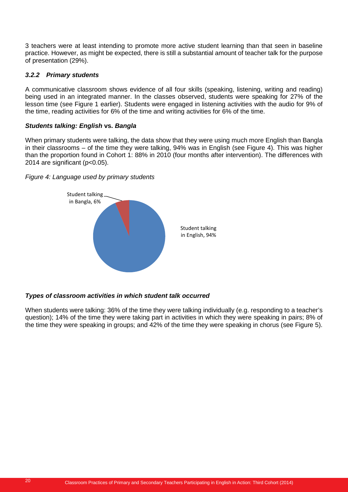3 teachers were at least intending to promote more active student learning than that seen in baseline practice. However, as might be expected, there is still a substantial amount of teacher talk for the purpose of presentation (29%).

### *3.2.2 Primary students*

A communicative classroom shows evidence of all four skills (speaking, listening, writing and reading) being used in an integrated manner. In the classes observed, students were speaking for 27% of the lesson time (see Figure 1 earlier). Students were engaged in listening activities with the audio for 9% of the time, reading activities for 6% of the time and writing activities for 6% of the time.

#### *Students talking: English* **vs.** *Bangla*

When primary students were talking, the data show that they were using much more English than Bangla in their classrooms – of the time they were talking, 94% was in English (see Figure 4). This was higher than the proportion found in Cohort 1: 88% in 2010 (four months after intervention). The differences with 2014 are significant (p<0.05).

#### *Figure 4: Language used by primary students*



## *Types of classroom activities in which student talk occurred*

When students were talking: 36% of the time they were talking individually (e.g. responding to a teacher's question); 14% of the time they were taking part in activities in which they were speaking in pairs; 8% of the time they were speaking in groups; and 42% of the time they were speaking in chorus (see Figure 5).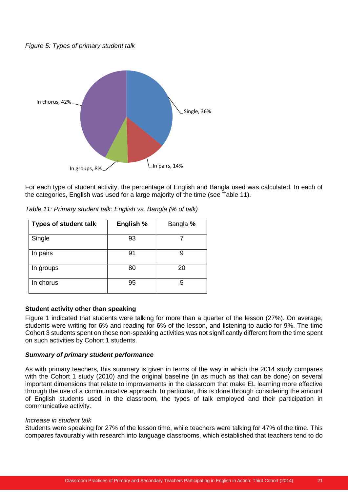*Figure 5: Types of primary student talk* 



For each type of student activity, the percentage of English and Bangla used was calculated. In each of the categories, English was used for a large majority of the time (see Table 11).

| <b>Types of student talk</b> | English % | Bangla % |
|------------------------------|-----------|----------|
| Single                       | 93        |          |
| In pairs                     | 91        | 9        |
| In groups                    | 80        | 20       |
| In chorus                    | 95        | 5        |

*Table 11: Primary student talk: English vs. Bangla (% of talk)*

## **Student activity other than speaking**

Figure 1 indicated that students were talking for more than a quarter of the lesson (27%). On average, students were writing for 6% and reading for 6% of the lesson, and listening to audio for 9%. The time Cohort 3 students spent on these non-speaking activities was not significantly different from the time spent on such activities by Cohort 1 students.

#### *Summary of primary student performance*

As with primary teachers, this summary is given in terms of the way in which the 2014 study compares with the Cohort 1 study (2010) and the original baseline (in as much as that can be done) on several important dimensions that relate to improvements in the classroom that make EL learning more effective through the use of a communicative approach. In particular, this is done through considering the amount of English students used in the classroom, the types of talk employed and their participation in communicative activity.

## *Increase in student talk*

Students were speaking for 27% of the lesson time, while teachers were talking for 47% of the time. This compares favourably with research into language classrooms, which established that teachers tend to do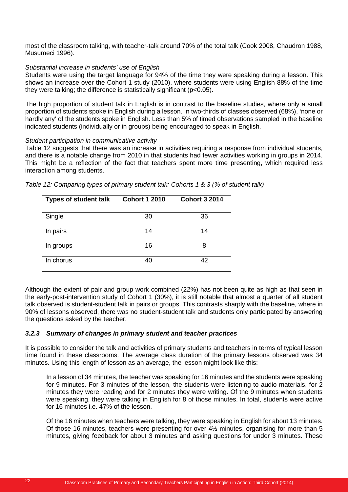most of the classroom talking, with teacher-talk around 70% of the total talk (Cook 2008, Chaudron 1988, Musumeci 1996).

#### *Substantial increase in students' use of English*

Students were using the target language for 94% of the time they were speaking during a lesson. This shows an increase over the Cohort 1 study (2010), where students were using English 88% of the time they were talking; the difference is statistically significant (p<0.05).

The high proportion of student talk in English is in contrast to the baseline studies, where only a small proportion of students spoke in English during a lesson. In two-thirds of classes observed (68%), 'none or hardly any' of the students spoke in English. Less than 5% of timed observations sampled in the baseline indicated students (individually or in groups) being encouraged to speak in English.

#### *Student participation in communicative activity*

Table 12 suggests that there was an increase in activities requiring a response from individual students, and there is a notable change from 2010 in that students had fewer activities working in groups in 2014. This might be a reflection of the fact that teachers spent more time presenting, which required less interaction among students.

| <b>Types of student talk</b> | <b>Cohort 1 2010</b> | <b>Cohort 3 2014</b> |
|------------------------------|----------------------|----------------------|
| Single                       | 30                   | 36                   |
| In pairs                     | 14                   | 14                   |
| In groups                    | 16                   | 8                    |
| In chorus                    | 40                   | 42                   |

*Table 12: Comparing types of primary student talk: Cohorts 1 & 3 (% of student talk)* 

Although the extent of pair and group work combined (22%) has not been quite as high as that seen in the early-post-intervention study of Cohort 1 (30%), it is still notable that almost a quarter of all student talk observed is student-student talk in pairs or groups. This contrasts sharply with the baseline, where in 90% of lessons observed, there was no student-student talk and students only participated by answering the questions asked by the teacher.

## *3.2.3 Summary of changes in primary student and teacher practices*

It is possible to consider the talk and activities of primary students and teachers in terms of typical lesson time found in these classrooms. The average class duration of the primary lessons observed was 34 minutes. Using this length of lesson as an average, the lesson might look like this:

In a lesson of 34 minutes, the teacher was speaking for 16 minutes and the students were speaking for 9 minutes. For 3 minutes of the lesson, the students were listening to audio materials, for 2 minutes they were reading and for 2 minutes they were writing. Of the 9 minutes when students were speaking, they were talking in English for 8 of those minutes. In total, students were active for 16 minutes i.e. 47% of the lesson.

Of the 16 minutes when teachers were talking, they were speaking in English for about 13 minutes. Of those 16 minutes, teachers were presenting for over  $4\frac{1}{2}$  minutes, organising for more than 5 minutes, giving feedback for about 3 minutes and asking questions for under 3 minutes. These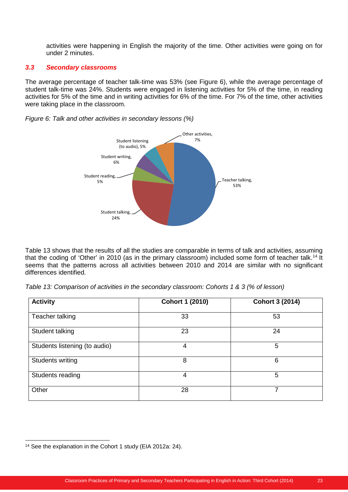activities were happening in English the majority of the time. Other activities were going on for under 2 minutes.

### *3.3 Secondary classrooms*

The average percentage of teacher talk-time was 53% (see Figure 6), while the average percentage of student talk-time was 24%. Students were engaged in listening activities for 5% of the time, in reading activities for 5% of the time and in writing activities for 6% of the time. For 7% of the time, other activities were taking place in the classroom.

*Figure 6: Talk and other activities in secondary lessons (%)* 



Table 13 shows that the results of all the studies are comparable in terms of talk and activities, assuming that the coding of 'Other' in 2010 (as in the primary classroom) included some form of teacher talk.<sup>[14](#page-24-0)</sup> It seems that the patterns across all activities between 2010 and 2014 are similar with no significant differences identified.

| Table 13: Comparison of activities in the secondary classroom: Cohorts 1 & 3 (% of lesson) |  |
|--------------------------------------------------------------------------------------------|--|
|--------------------------------------------------------------------------------------------|--|

| <b>Activity</b>               | <b>Cohort 1 (2010)</b> | <b>Cohort 3 (2014)</b> |
|-------------------------------|------------------------|------------------------|
| Teacher talking               | 33                     | 53                     |
| Student talking               | 23                     | 24                     |
| Students listening (to audio) | 4                      | 5                      |
| Students writing              | 8                      | 6                      |
| Students reading              | 4                      | 5                      |
| Other                         | 28                     | $\overline{7}$         |

<span id="page-24-0"></span><sup>&</sup>lt;sup>14</sup> See the explanation in the Cohort 1 study (EIA 2012a: 24).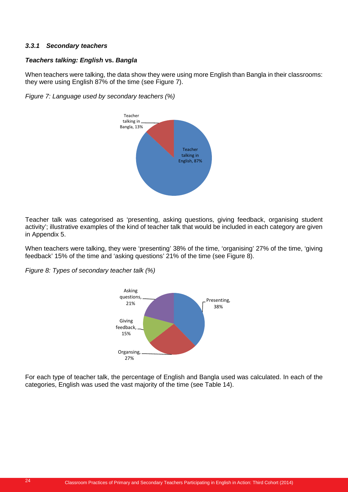#### *3.3.1 Secondary teachers*

#### *Teachers talking: English* **vs.** *Bangla*

When teachers were talking, the data show they were using more English than Bangla in their classrooms: they were using English 87% of the time (see Figure 7).

*Figure 7: Language used by secondary teachers (%)* 



Teacher talk was categorised as 'presenting, asking questions, giving feedback, organising student activity'; illustrative examples of the kind of teacher talk that would be included in each category are given in Appendix 5.

When teachers were talking, they were 'presenting' 38% of the time, 'organising' 27% of the time, 'giving feedback' 15% of the time and 'asking questions' 21% of the time (see Figure 8).

*Figure 8: Types of secondary teacher talk (%)* 



For each type of teacher talk, the percentage of English and Bangla used was calculated. In each of the categories, English was used the vast majority of the time (see Table 14).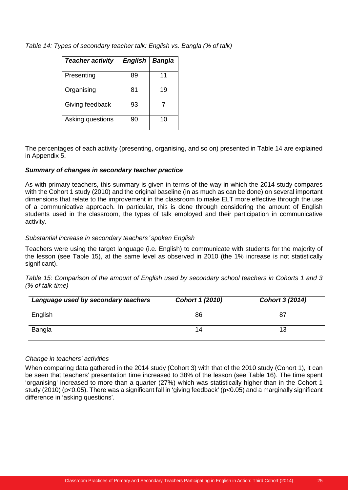*Table 14: Types of secondary teacher talk: English vs. Bangla (% of talk)*

| <b>Teacher activity</b> | <b>English</b> | <b>Bangla</b> |
|-------------------------|----------------|---------------|
| Presenting              | 89             | 11            |
| Organising              | 81             | 19            |
| Giving feedback         | 93             |               |
| Asking questions        | 90             | 10            |

The percentages of each activity (presenting, organising, and so on) presented in Table 14 are explained in Appendix 5.

## *Summary of changes in secondary teacher practice*

As with primary teachers, this summary is given in terms of the way in which the 2014 study compares with the Cohort 1 study (2010) and the original baseline (in as much as can be done) on several important dimensions that relate to the improvement in the classroom to make ELT more effective through the use of a communicative approach. In particular, this is done through considering the amount of English students used in the classroom, the types of talk employed and their participation in communicative activity.

#### *Substantial increase in secondary teachers*' *spoken English*

Teachers were using the target language (i.e. English) to communicate with students for the majority of the lesson (see Table 15), at the same level as observed in 2010 (the 1% increase is not statistically significant).

*Table 15: Comparison of the amount of English used by secondary school teachers in Cohorts 1 and 3 (% of talk-time)*

| Language used by secondary teachers | Cohort 1 (2010) | <b>Cohort 3 (2014)</b> |
|-------------------------------------|-----------------|------------------------|
| English                             | 86              | 87                     |
| Bangla                              | 14              | 13                     |

#### *Change in teachers' activities*

When comparing data gathered in the 2014 study (Cohort 3) with that of the 2010 study (Cohort 1), it can be seen that teachers' presentation time increased to 38% of the lesson (see Table 16). The time spent 'organising' increased to more than a quarter (27%) which was statistically higher than in the Cohort 1 study (2010) (p<0.05). There was a significant fall in 'giving feedback' (p<0.05) and a marginally significant difference in 'asking questions'.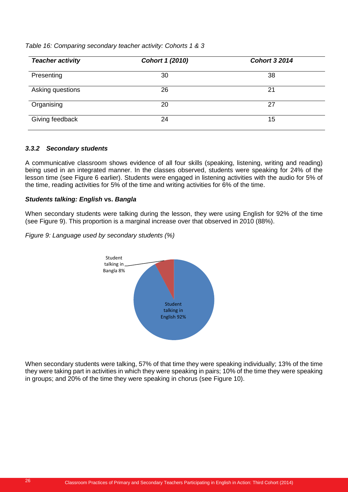| <b>Teacher activity</b> | Cohort 1 (2010) | <b>Cohort 3 2014</b> |
|-------------------------|-----------------|----------------------|
| Presenting              | 30              | 38                   |
| Asking questions        | 26              | 21                   |
| Organising              | 20              | 27                   |
| Giving feedback         | 24              | 15                   |

*Table 16: Comparing secondary teacher activity: Cohorts 1 & 3*

#### *3.3.2 Secondary students*

A communicative classroom shows evidence of all four skills (speaking, listening, writing and reading) being used in an integrated manner. In the classes observed, students were speaking for 24% of the lesson time (see Figure 6 earlier). Students were engaged in listening activities with the audio for 5% of the time, reading activities for 5% of the time and writing activities for 6% of the time.

## *Students talking: English* **vs.** *Bangla*

When secondary students were talking during the lesson, they were using English for 92% of the time (see Figure 9). This proportion is a marginal increase over that observed in 2010 (88%).

*Figure 9: Language used by secondary students (%)* 



When secondary students were talking, 57% of that time they were speaking individually; 13% of the time they were taking part in activities in which they were speaking in pairs; 10% of the time they were speaking in groups; and 20% of the time they were speaking in chorus (see Figure 10).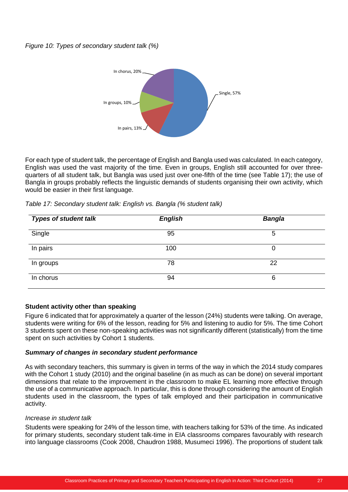### *Figure 10: Types of secondary student talk (%)*



For each type of student talk, the percentage of English and Bangla used was calculated. In each category, English was used the vast majority of the time. Even in groups, English still accounted for over threequarters of all student talk, but Bangla was used just over one-fifth of the time (see Table 17); the use of Bangla in groups probably reflects the linguistic demands of students organising their own activity, which would be easier in their first language.

| Table 17: Secondary student talk: English vs. Bangla (% student talk) |  |  |
|-----------------------------------------------------------------------|--|--|
|                                                                       |  |  |

| <b>Types of student talk</b> | <b>English</b> | <b>Bangla</b> |
|------------------------------|----------------|---------------|
| Single                       | 95             | 5             |
| In pairs                     | 100            | 0             |
| In groups                    | 78             | 22            |
| In chorus                    | 94             | 6             |

## **Student activity other than speaking**

Figure 6 indicated that for approximately a quarter of the lesson (24%) students were talking. On average, students were writing for 6% of the lesson, reading for 5% and listening to audio for 5%. The time Cohort 3 students spent on these non-speaking activities was not significantly different (statistically) from the time spent on such activities by Cohort 1 students.

#### *Summary of changes in secondary student performance*

As with secondary teachers, this summary is given in terms of the way in which the 2014 study compares with the Cohort 1 study (2010) and the original baseline (in as much as can be done) on several important dimensions that relate to the improvement in the classroom to make EL learning more effective through the use of a communicative approach. In particular, this is done through considering the amount of English students used in the classroom, the types of talk employed and their participation in communicative activity.

#### *Increase in student talk*

Students were speaking for 24% of the lesson time, with teachers talking for 53% of the time. As indicated for primary students, secondary student talk-time in EIA classrooms compares favourably with research into language classrooms (Cook 2008, Chaudron 1988, Musumeci 1996). The proportions of student talk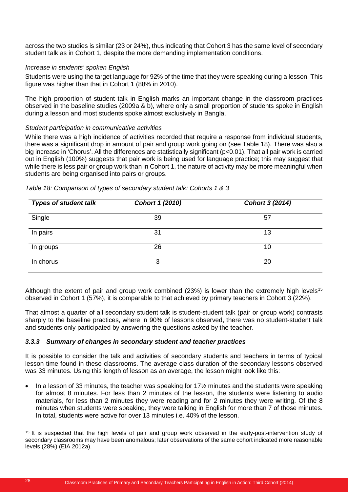across the two studies is similar (23 or 24%), thus indicating that Cohort 3 has the same level of secondary student talk as in Cohort 1, despite the more demanding implementation conditions.

## *Increase in students' spoken English*

Students were using the target language for 92% of the time that they were speaking during a lesson. This figure was higher than that in Cohort 1 (88% in 2010).

The high proportion of student talk in English marks an important change in the classroom practices observed in the baseline studies (2009a & b), where only a small proportion of students spoke in English during a lesson and most students spoke almost exclusively in Bangla.

#### *Student participation in communicative activities*

While there was a high incidence of activities recorded that require a response from individual students, there was a significant drop in amount of pair and group work going on (see Table 18). There was also a big increase in 'Chorus'. All the differences are statistically significant (p<0.01). That all pair work is carried out in English (100%) suggests that pair work is being used for language practice; this may suggest that while there is less pair or group work than in Cohort 1, the nature of activity may be more meaningful when students are being organised into pairs or groups.

| <b>Types of student talk</b> | Cohort 1 (2010) | <b>Cohort 3 (2014)</b> |
|------------------------------|-----------------|------------------------|
| Single                       | 39              | 57                     |
| In pairs                     | 31              | 13                     |
| In groups                    | 26              | 10                     |
| In chorus                    | 3               | 20                     |

*Table 18: Comparison of types of secondary student talk: Cohorts 1 & 3*

Although the extent of pair and group work combined (23%) is lower than the extremely high levels<sup>[15](#page-29-0)</sup> observed in Cohort 1 (57%), it is comparable to that achieved by primary teachers in Cohort 3 (22%).

That almost a quarter of all secondary student talk is student-student talk (pair or group work) contrasts sharply to the baseline practices, where in 90% of lessons observed, there was no student-student talk and students only participated by answering the questions asked by the teacher.

#### *3.3.3 Summary of changes in secondary student and teacher practices*

It is possible to consider the talk and activities of secondary students and teachers in terms of typical lesson time found in these classrooms. The average class duration of the secondary lessons observed was 33 minutes. Using this length of lesson as an average, the lesson might look like this:

In a lesson of 33 minutes, the teacher was speaking for 17½ minutes and the students were speaking for almost 8 minutes. For less than 2 minutes of the lesson, the students were listening to audio materials, for less than 2 minutes they were reading and for 2 minutes they were writing. Of the 8 minutes when students were speaking, they were talking in English for more than 7 of those minutes. In total, students were active for over 13 minutes i.e. 40% of the lesson.

<span id="page-29-0"></span><sup>&</sup>lt;sup>15</sup> It is suspected that the high levels of pair and group work observed in the early-post-intervention study of secondary classrooms may have been anomalous; later observations of the same cohort indicated more reasonable levels (28%) (EIA 2012a).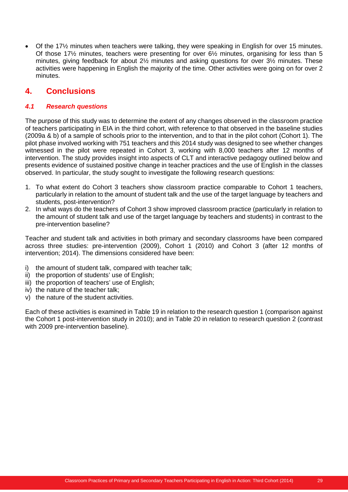• Of the 17½ minutes when teachers were talking, they were speaking in English for over 15 minutes. Of those 17 $\frac{1}{2}$  minutes, teachers were presenting for over 6 $\frac{1}{2}$  minutes, organising for less than 5 minutes, giving feedback for about 2½ minutes and asking questions for over 3½ minutes. These activities were happening in English the majority of the time. Other activities were going on for over 2 minutes.

## **4. Conclusions**

## *4.1 Research questions*

The purpose of this study was to determine the extent of any changes observed in the classroom practice of teachers participating in EIA in the third cohort, with reference to that observed in the baseline studies (2009a & b) of a sample of schools prior to the intervention, and to that in the pilot cohort (Cohort 1). The pilot phase involved working with 751 teachers and this 2014 study was designed to see whether changes witnessed in the pilot were repeated in Cohort 3, working with 8,000 teachers after 12 months of intervention. The study provides insight into aspects of CLT and interactive pedagogy outlined below and presents evidence of sustained positive change in teacher practices and the use of English in the classes observed. In particular, the study sought to investigate the following research questions:

- 1. To what extent do Cohort 3 teachers show classroom practice comparable to Cohort 1 teachers, particularly in relation to the amount of student talk and the use of the target language by teachers and students, post-intervention?
- 2. In what ways do the teachers of Cohort 3 show improved classroom practice (particularly in relation to the amount of student talk and use of the target language by teachers and students) in contrast to the pre-intervention baseline?

Teacher and student talk and activities in both primary and secondary classrooms have been compared across three studies: pre-intervention (2009), Cohort 1 (2010) and Cohort 3 (after 12 months of intervention; 2014). The dimensions considered have been:

- i) the amount of student talk, compared with teacher talk;
- ii) the proportion of students' use of English;
- iii) the proportion of teachers' use of English;
- iv) the nature of the teacher talk;
- v) the nature of the student activities.

Each of these activities is examined in Table 19 in relation to the research question 1 (comparison against the Cohort 1 post-intervention study in 2010); and in Table 20 in relation to research question 2 (contrast with 2009 pre-intervention baseline).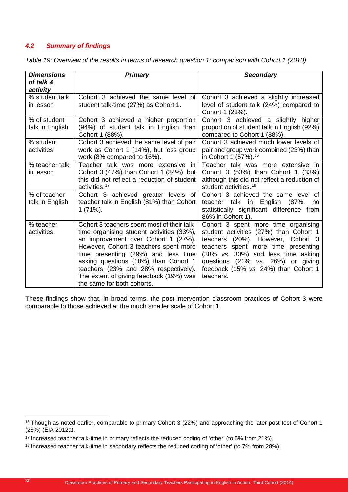## *4.2 Summary of findings*

*Table 19: Overview of the results in terms of research question 1: comparison with Cohort 1 (2010)*

| <b>Dimensions</b> | <b>Primary</b>                                           | <b>Secondary</b>                                                           |
|-------------------|----------------------------------------------------------|----------------------------------------------------------------------------|
| of talk &         |                                                          |                                                                            |
| activity          |                                                          |                                                                            |
| % student talk    | Cohort 3 achieved the same level of                      | Cohort 3 achieved a slightly increased                                     |
| in lesson         | student talk-time (27%) as Cohort 1.                     | level of student talk (24%) compared to<br>Cohort 1 (23%).                 |
| % of student      | Cohort 3 achieved a higher proportion                    | Cohort 3 achieved a slightly higher                                        |
| talk in English   | (94%) of student talk in English than<br>Cohort 1 (88%). | proportion of student talk in English (92%)<br>compared to Cohort 1 (88%). |
| % student         | Cohort 3 achieved the same level of pair                 | Cohort 3 achieved much lower levels of                                     |
| activities        | work as Cohort 1 (14%), but less group                   | pair and group work combined (23%) than                                    |
|                   | work (8% compared to 16%).                               | in Cohort 1 (57%). <sup>16</sup>                                           |
| % teacher talk    | Teacher talk was more extensive in                       | Teacher talk was more extensive in                                         |
| in lesson         | Cohort 3 (47%) than Cohort 1 (34%), but                  | Cohort 3 (53%) than Cohort 1 (33%)                                         |
|                   | this did not reflect a reduction of student              | although this did not reflect a reduction of                               |
|                   | activities. <sup>17</sup>                                | student activities. <sup>18</sup>                                          |
| % of teacher      | Cohort 3 achieved greater levels of                      | Cohort 3 achieved the same level of                                        |
| talk in English   | teacher talk in English (81%) than Cohort                | teacher talk in English (87%,<br>no                                        |
|                   | $1(71\%)$ .                                              | statistically significant difference from<br>86% in Cohort 1).             |
| % teacher         | Cohort 3 teachers spent most of their talk-              | Cohort 3 spent more time organising                                        |
| activities        | time organising student activities (33%),                | student activities (27%) than Cohort 1                                     |
|                   | an improvement over Cohort 1 (27%).                      | teachers (20%). However, Cohort 3                                          |
|                   | However, Cohort 3 teachers spent more                    | teachers spent more time presenting                                        |
|                   | time presenting (29%) and less time                      | (38% vs. 30%) and less time asking                                         |
|                   | asking questions (18%) than Cohort 1                     | questions (21% vs. 26%) or giving                                          |
|                   | teachers (23% and 28% respectively).                     | feedback (15% vs. 24%) than Cohort 1                                       |
|                   | The extent of giving feedback (19%) was                  | teachers.                                                                  |
|                   | the same for both cohorts.                               |                                                                            |

These findings show that, in broad terms, the post-intervention classroom practices of Cohort 3 were comparable to those achieved at the much smaller scale of Cohort 1.

<span id="page-31-0"></span><sup>&</sup>lt;sup>16</sup> Though as noted earlier, comparable to primary Cohort 3 (22%) and approaching the later post-test of Cohort 1 (28%) (EIA 2012a).

<span id="page-31-1"></span><sup>&</sup>lt;sup>17</sup> Increased teacher talk-time in primary reflects the reduced coding of 'other' (to 5% from 21%).

<span id="page-31-2"></span><sup>18</sup> Increased teacher talk-time in secondary reflects the reduced coding of 'other' (to 7% from 28%).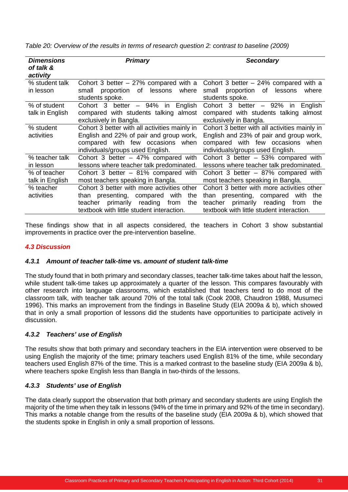*Table 20: Overview of the results in terms of research question 2: contrast to baseline (2009)*

| <b>Dimensions</b><br>of talk &<br>activity | <b>Primary</b>                                                   | <b>Secondary</b>                                              |  |  |  |  |
|--------------------------------------------|------------------------------------------------------------------|---------------------------------------------------------------|--|--|--|--|
| % student talk                             | Cohort 3 better $-27%$ compared with a                           | Cohort 3 better $-24\%$ compared with a                       |  |  |  |  |
| in lesson                                  | of<br>lessons<br>where<br>proportion<br>small<br>students spoke. | proportion of<br>lessons<br>where<br>small<br>students spoke. |  |  |  |  |
| % of student                               | Cohort 3<br>better - 94% in<br>English                           | Cohort 3 better $-$ 92% in<br>English                         |  |  |  |  |
| talk in English                            | compared with students talking almost                            | compared with students talking almost                         |  |  |  |  |
|                                            | exclusively in Bangla.                                           | exclusively in Bangla.                                        |  |  |  |  |
| % student                                  | Cohort 3 better with all activities mainly in                    | Cohort 3 better with all activities mainly in                 |  |  |  |  |
| activities                                 | English and 22% of pair and group work,                          | English and 23% of pair and group work,                       |  |  |  |  |
|                                            | compared with few occasions when                                 | compared with few occasions when                              |  |  |  |  |
|                                            | individuals/groups used English.                                 | individuals/groups used English.                              |  |  |  |  |
| % teacher talk                             | Cohort 3 better $-47%$ compared with                             | Cohort 3 better $-53%$ compared with                          |  |  |  |  |
| in lesson                                  | lessons where teacher talk predominated.                         | lessons where teacher talk predominated.                      |  |  |  |  |
| % of teacher                               | Cohort 3 better - 81% compared with                              | Cohort 3 better - 87% compared with                           |  |  |  |  |
| talk in English                            | most teachers speaking in Bangla.                                | most teachers speaking in Bangla.                             |  |  |  |  |
| % teacher                                  | Cohort 3 better with more activities other                       | Cohort 3 better with more activities other                    |  |  |  |  |
| activities                                 | than presenting, compared with<br>the                            | than presenting, compared<br>with<br>the                      |  |  |  |  |
|                                            | primarily reading<br>from<br>teacher<br>the                      | primarily reading<br>teacher<br>from<br>the                   |  |  |  |  |
|                                            | textbook with little student interaction.                        | textbook with little student interaction.                     |  |  |  |  |

These findings show that in all aspects considered, the teachers in Cohort 3 show substantial improvements in practice over the pre-intervention baseline.

## *4.3 Discussion*

#### *4.3.1 Amount of teacher talk-time* **vs.** *amount of student talk-time*

The study found that in both primary and secondary classes, teacher talk-time takes about half the lesson, while student talk-time takes up approximately a quarter of the lesson. This compares favourably with other research into language classrooms, which established that teachers tend to do most of the classroom talk, with teacher talk around 70% of the total talk (Cook 2008, Chaudron 1988, Musumeci 1996). This marks an improvement from the findings in Baseline Study (EIA 2009a & b), which showed that in only a small proportion of lessons did the students have opportunities to participate actively in discussion.

## *4.3.2 Teachers' use of English*

The results show that both primary and secondary teachers in the EIA intervention were observed to be using English the majority of the time; primary teachers used English 81% of the time, while secondary teachers used English 87% of the time. This is a marked contrast to the baseline study (EIA 2009a & b), where teachers spoke English less than Bangla in two-thirds of the lessons.

## *4.3.3 Students' use of English*

The data clearly support the observation that both primary and secondary students are using English the majority of the time when they talk in lessons (94% of the time in primary and 92% of the time in secondary). This marks a notable change from the results of the baseline study (EIA 2009a & b), which showed that the students spoke in English in only a small proportion of lessons.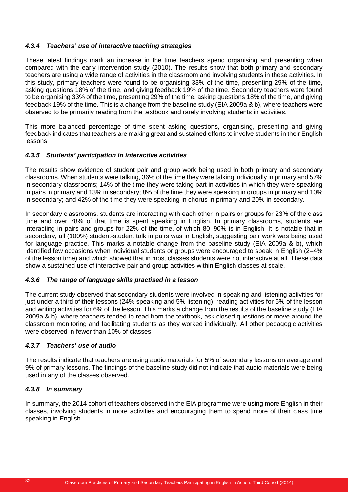## *4.3.4 Teachers' use of interactive teaching strategies*

These latest findings mark an increase in the time teachers spend organising and presenting when compared with the early intervention study (2010). The results show that both primary and secondary teachers are using a wide range of activities in the classroom and involving students in these activities. In this study, primary teachers were found to be organising 33% of the time, presenting 29% of the time, asking questions 18% of the time, and giving feedback 19% of the time. Secondary teachers were found to be organising 33% of the time, presenting 29% of the time, asking questions 18% of the time, and giving feedback 19% of the time. This is a change from the baseline study (EIA 2009a & b), where teachers were observed to be primarily reading from the textbook and rarely involving students in activities.

This more balanced percentage of time spent asking questions, organising, presenting and giving feedback indicates that teachers are making great and sustained efforts to involve students in their English lessons.

#### *4.3.5 Students' participation in interactive activities*

The results show evidence of student pair and group work being used in both primary and secondary classrooms. When students were talking, 36% of the time they were talking individually in primary and 57% in secondary classrooms; 14% of the time they were taking part in activities in which they were speaking in pairs in primary and 13% in secondary; 8% of the time they were speaking in groups in primary and 10% in secondary; and 42% of the time they were speaking in chorus in primary and 20% in secondary.

In secondary classrooms, students are interacting with each other in pairs or groups for 23% of the class time and over 78% of that time is spent speaking in English. In primary classrooms, students are interacting in pairs and groups for 22% of the time, of which 80–90% is in English. It is notable that in secondary, all (100%) student-student talk in pairs was in English, suggesting pair work was being used for language practice. This marks a notable change from the baseline study (EIA 2009a & b), which identified few occasions when individual students or groups were encouraged to speak in English (2–4% of the lesson time) and which showed that in most classes students were not interactive at all. These data show a sustained use of interactive pair and group activities within English classes at scale.

#### *4.3.6 The range of language skills practised in a lesson*

The current study observed that secondary students were involved in speaking and listening activities for just under a third of their lessons (24% speaking and 5% listening), reading activities for 5% of the lesson and writing activities for 6% of the lesson. This marks a change from the results of the baseline study (EIA 2009a & b), where teachers tended to read from the textbook, ask closed questions or move around the classroom monitoring and facilitating students as they worked individually. All other pedagogic activities were observed in fewer than 10% of classes.

#### *4.3.7 Teachers' use of audio*

The results indicate that teachers are using audio materials for 5% of secondary lessons on average and 9% of primary lessons. The findings of the baseline study did not indicate that audio materials were being used in any of the classes observed.

#### *4.3.8 In summary*

In summary, the 2014 cohort of teachers observed in the EIA programme were using more English in their classes, involving students in more activities and encouraging them to spend more of their class time speaking in English.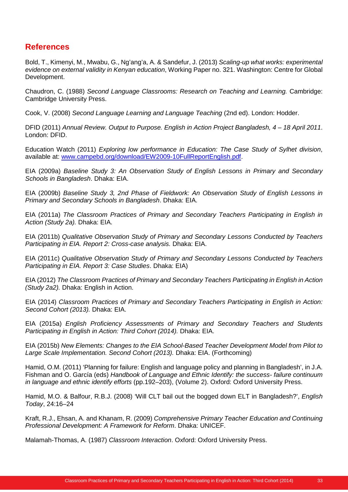## **References**

Bold, T., Kimenyi, M., Mwabu, G., Ng'ang'a, A. & Sandefur, J. (2013) *Scaling-up what works: experimental evidence on external validity in Kenyan education*, Working Paper no. 321. Washington: Centre for Global Development.

Chaudron, C. (1988) *Second Language Classrooms: Research on Teaching and Learning.* Cambridge: Cambridge University Press.

Cook, V. (2008) *Second Language Learning and Language Teaching* (2nd ed). London: Hodder.

DFID (2011) *Annual Review. Output to Purpose. English in Action Project Bangladesh, 4 – 18 April 2011*. London: DFID.

Education Watch (2011) *Exploring low performance in Education: The Case Study of Sylhet division*, available at: [www.campebd.org/download/EW2009-10FullReportEnglish.pdf.](http://www.campebd.org/download/EW2009-10FullReportEnglish.pdf)

EIA (2009a) *Baseline Study 3: An Observation Study of English Lessons in Primary and Secondary Schools in Bangladesh*. Dhaka: EIA.

EIA (2009b) *Baseline Study 3, 2nd Phase of Fieldwork: An Observation Study of English Lessons in Primary and Secondary Schools in Bangladesh*. Dhaka: EIA.

EIA (2011a) *The Classroom Practices of Primary and Secondary Teachers Participating in English in Action (Study 2a).* Dhaka: EIA.

EIA (2011b) *Qualitative Observation Study of Primary and Secondary Lessons Conducted by Teachers Participating in EIA. Report 2: Cross-case analysis.* Dhaka: EIA.

EIA (2011c) *Qualitative Observation Study of Primary and Secondary Lessons Conducted by Teachers Participating in EIA. Report 3: Case Studies*. Dhaka: EIA)

EIA (2012) *The Classroom Practices of Primary and Secondary Teachers Participating in English in Action (Study 2a2).* Dhaka: English in Action.

EIA (2014) *Classroom Practices of Primary and Secondary Teachers Participating in English in Action: Second Cohort (2013).* Dhaka: EIA.

EIA (2015a) *English Proficiency Assessments of Primary and Secondary Teachers and Students Participating in English in Action: Third Cohort (2014).* Dhaka: EIA.

EIA (2015b) *New Elements: Changes to the EIA School-Based Teacher Development Model from Pilot to Large Scale Implementation. Second Cohort (2013).* Dhaka: EIA. (Forthcoming)

Hamid, O.M. (2011) 'Planning for failure: English and language policy and planning in Bangladesh', in J.A. Fishman and O. García (eds) *Handbook of Language and Ethnic Identify: the success- failure continuum in language and ethnic identify efforts* (pp.192–203), (Volume 2). Oxford: Oxford University Press.

Hamid, M.O. & Balfour, R.B.J. (2008) 'Will CLT bail out the bogged down ELT in Bangladesh?', *English Today*, 24:16–24

Kraft, R.J., Ehsan, A. and Khanam, R. (2009) *Comprehensive Primary Teacher Education and Continuing Professional Development: A Framework for Reform*. Dhaka: UNICEF.

Malamah-Thomas, A. (1987) *Classroom Interaction*. Oxford: Oxford University Press.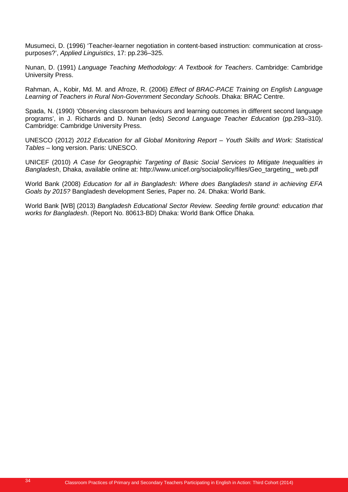Musumeci, D. (1996) 'Teacher-learner negotiation in content-based instruction: communication at crosspurposes?', *Applied Linguistics*, 17: pp.236–325.

Nunan, D. (1991) *Language Teaching Methodology: A Textbook for Teachers*. Cambridge: Cambridge University Press.

Rahman, A., Kobir, Md. M. and Afroze, R. (2006) *Effect of BRAC-PACE Training on English Language Learning of Teachers in Rural Non-Government Secondary Schools*. Dhaka: BRAC Centre.

Spada, N. (1990) 'Observing classroom behaviours and learning outcomes in different second language programs', in J. Richards and D. Nunan (eds) *Second Language Teacher Education* (pp.293–310). Cambridge: Cambridge University Press.

UNESCO (2012) *2012 Education for all Global Monitoring Report – Youth Skills and Work: Statistical Tables* – long version. Paris: UNESCO.

UNICEF (2010) *A Case for Geographic Targeting of Basic Social Services to Mitigate Inequalities in Bangladesh*, Dhaka, available online at: http://www.unicef.org/socialpolicy/files/Geo\_targeting\_ web.pdf

World Bank (2008) *Education for all in Bangladesh: Where does Bangladesh stand in achieving EFA Goals by 2015?* Bangladesh development Series, Paper no. 24. Dhaka: World Bank.

World Bank [WB] (2013) *Bangladesh Educational Sector Review. Seeding fertile ground: education that works for Bangladesh*. (Report No. 80613-BD) Dhaka: World Bank Office Dhaka.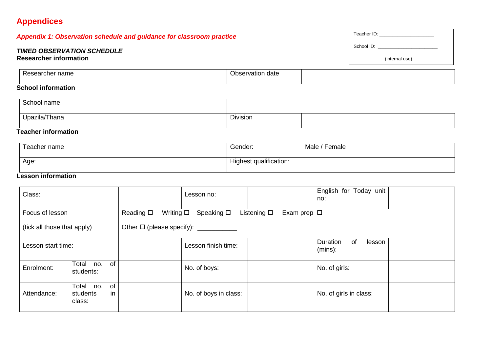## **Appendices**

## *Appendix 1: Observation schedule and guidance for classroom practice*

#### *TIMED OBSERVATION SCHEDULE* **Researcher information**

Teacher ID: \_\_\_\_\_\_\_\_\_\_\_\_\_\_\_\_\_\_\_\_\_ School ID: \_\_\_\_\_\_\_\_\_\_\_\_\_\_\_\_\_\_\_\_\_\_\_ (internal use)

| name<br>ו טו וסו | $\sim$<br>Dbsi<br>Jivation<br>aate |  |
|------------------|------------------------------------|--|
|                  |                                    |  |

## **School information**

| School name   |          |  |
|---------------|----------|--|
| Upazila/Thana | Division |  |

## **Teacher information**

| Teacher name | Gender:                | Male / Female |
|--------------|------------------------|---------------|
| Age:         | Highest qualification: |               |

#### **Lesson information**

| Class:                                                                  |                                                |                   | Lesson no:                                                                         |  | English for Today unit<br>no:          |  |  |  |  |  |
|-------------------------------------------------------------------------|------------------------------------------------|-------------------|------------------------------------------------------------------------------------|--|----------------------------------------|--|--|--|--|--|
| Focus of lesson                                                         |                                                | Reading $\square$ | Writing $\square$<br>Speaking $\square$<br>Listening $\square$<br>Exam prep $\Box$ |  |                                        |  |  |  |  |  |
| Other □ (please specify): ______________<br>(tick all those that apply) |                                                |                   |                                                                                    |  |                                        |  |  |  |  |  |
| Lesson start time:                                                      |                                                |                   | Lesson finish time:                                                                |  | Duration<br>0f<br>lesson<br>$(mins)$ : |  |  |  |  |  |
| Enrolment:                                                              | of<br>Total<br>no.<br>students:                |                   | No. of boys:                                                                       |  | No. of girls:                          |  |  |  |  |  |
| Attendance:                                                             | of<br>Total<br>no.<br>in<br>students<br>class: |                   | No. of boys in class:                                                              |  | No. of girls in class:                 |  |  |  |  |  |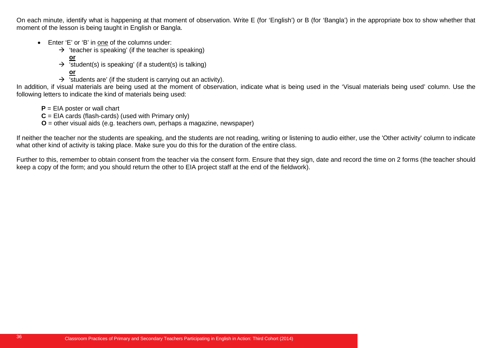On each minute, identify what is happening at that moment of observation. Write E (for 'English') or B (for 'Bangla') in the appropriate box to show whether that moment of the lesson is being taught in English or Bangla.

- Enter 'E' or 'B' in one of the columns under:
	- $\rightarrow$  'teacher is speaking' (if the teacher is speaking)
		- **or**
	- $\rightarrow$  'student(s) is speaking' (if a student(s) is talking)
		- **or**
	- $\rightarrow$  'students are' (if the student is carrying out an activity).

In addition, if visual materials are being used at the moment of observation, indicate what is being used in the 'Visual materials being used' column. Use the following letters to indicate the kind of materials being used:

- **P** = EIA poster or wall chart
- **C** = EIA cards (flash-cards) (used with Primary only)
- **O** = other visual aids (e.g. teachers own, perhaps a magazine, newspaper)

If neither the teacher nor the students are speaking, and the students are not reading, writing or listening to audio either, use the 'Other activity' column to indicate what other kind of activity is taking place. Make sure you do this for the duration of the entire class.

Further to this, remember to obtain consent from the teacher via the consent form. Ensure that they sign, date and record the time on 2 forms (the teacher should keep a copy of the form; and you should return the other to EIA project staff at the end of the fieldwork).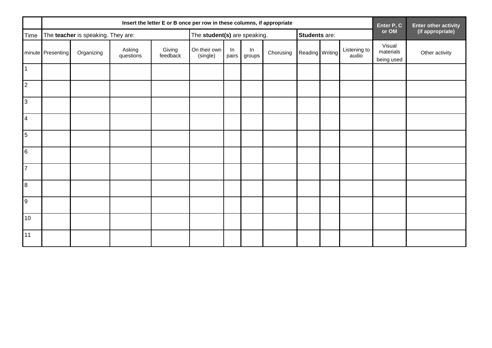|                | Insert the letter E or B once per row in these columns, if appropriate |                                    |                     |                    |                              |             |              |           |                      |  |                       | Enter P, C                        | <b>Enter other activity</b> |
|----------------|------------------------------------------------------------------------|------------------------------------|---------------------|--------------------|------------------------------|-------------|--------------|-----------|----------------------|--|-----------------------|-----------------------------------|-----------------------------|
| Time           |                                                                        | The teacher is speaking. They are: |                     |                    | The student(s) are speaking. |             |              |           | <b>Students are:</b> |  |                       | or OM                             | (if appropriate)            |
|                | minute Presenting                                                      | Organizing                         | Asking<br>questions | Giving<br>feedback | On their own<br>(single)     | In<br>pairs | In<br>groups | Chorusing | Reading Writing      |  | Listening to<br>audio | Visual<br>materials<br>being used | Other activity              |
| $\vert$ 1      |                                                                        |                                    |                     |                    |                              |             |              |           |                      |  |                       |                                   |                             |
| $\overline{2}$ |                                                                        |                                    |                     |                    |                              |             |              |           |                      |  |                       |                                   |                             |
| $\overline{3}$ |                                                                        |                                    |                     |                    |                              |             |              |           |                      |  |                       |                                   |                             |
| $\overline{4}$ |                                                                        |                                    |                     |                    |                              |             |              |           |                      |  |                       |                                   |                             |
| $\overline{5}$ |                                                                        |                                    |                     |                    |                              |             |              |           |                      |  |                       |                                   |                             |
| 6              |                                                                        |                                    |                     |                    |                              |             |              |           |                      |  |                       |                                   |                             |
| $\overline{7}$ |                                                                        |                                    |                     |                    |                              |             |              |           |                      |  |                       |                                   |                             |
| 8              |                                                                        |                                    |                     |                    |                              |             |              |           |                      |  |                       |                                   |                             |
| $\overline{9}$ |                                                                        |                                    |                     |                    |                              |             |              |           |                      |  |                       |                                   |                             |
| 10             |                                                                        |                                    |                     |                    |                              |             |              |           |                      |  |                       |                                   |                             |
| 11             |                                                                        |                                    |                     |                    |                              |             |              |           |                      |  |                       |                                   |                             |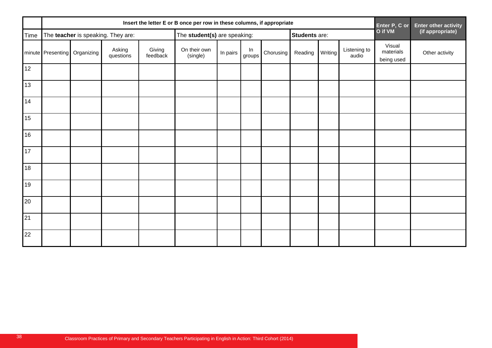|      | Insert the letter E or B once per row in these columns, if appropriate |                              |                                    |                    |                              |          |                      |           |         |         |                       |                                   | Enter P, C or<br>Enter other activity |
|------|------------------------------------------------------------------------|------------------------------|------------------------------------|--------------------|------------------------------|----------|----------------------|-----------|---------|---------|-----------------------|-----------------------------------|---------------------------------------|
| Time |                                                                        |                              | The teacher is speaking. They are: |                    | The student(s) are speaking: |          | <b>Students are:</b> |           |         | O if VM | (if appropriate)      |                                   |                                       |
|      |                                                                        | minute Presenting Organizing | Asking<br>questions                | Giving<br>feedback | On their own<br>(single)     | In pairs | In<br>groups         | Chorusing | Reading | Writing | Listening to<br>audio | Visual<br>materials<br>being used | Other activity                        |
| 12   |                                                                        |                              |                                    |                    |                              |          |                      |           |         |         |                       |                                   |                                       |
| 13   |                                                                        |                              |                                    |                    |                              |          |                      |           |         |         |                       |                                   |                                       |
| 14   |                                                                        |                              |                                    |                    |                              |          |                      |           |         |         |                       |                                   |                                       |
| 15   |                                                                        |                              |                                    |                    |                              |          |                      |           |         |         |                       |                                   |                                       |
| 16   |                                                                        |                              |                                    |                    |                              |          |                      |           |         |         |                       |                                   |                                       |
| 17   |                                                                        |                              |                                    |                    |                              |          |                      |           |         |         |                       |                                   |                                       |
| 18   |                                                                        |                              |                                    |                    |                              |          |                      |           |         |         |                       |                                   |                                       |
| 19   |                                                                        |                              |                                    |                    |                              |          |                      |           |         |         |                       |                                   |                                       |
| 20   |                                                                        |                              |                                    |                    |                              |          |                      |           |         |         |                       |                                   |                                       |
| 21   |                                                                        |                              |                                    |                    |                              |          |                      |           |         |         |                       |                                   |                                       |
| 22   |                                                                        |                              |                                    |                    |                              |          |                      |           |         |         |                       |                                   |                                       |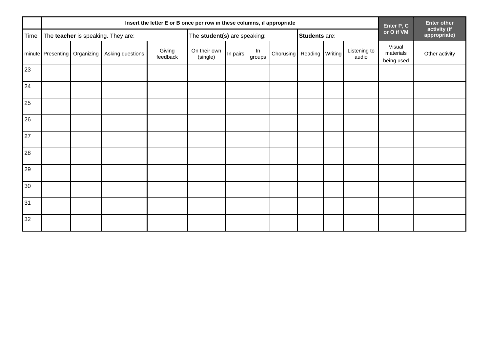|      | Insert the letter E or B once per row in these columns, if appropriate |                              |                                    |                    |                              |          |              |                           |  |  |                            |                                   | <b>Enter other</b> |
|------|------------------------------------------------------------------------|------------------------------|------------------------------------|--------------------|------------------------------|----------|--------------|---------------------------|--|--|----------------------------|-----------------------------------|--------------------|
| Time |                                                                        |                              | The teacher is speaking. They are: |                    | The student(s) are speaking: |          |              | <b>Students are:</b>      |  |  | Enter $P, C$<br>or O if VM | activity (if<br>appropriate)      |                    |
|      |                                                                        | minute Presenting Organizing | Asking questions                   | Giving<br>feedback | On their own<br>(single)     | In pairs | In<br>groups | Chorusing Reading Writing |  |  | Listening to<br>audio      | Visual<br>materials<br>being used | Other activity     |
| 23   |                                                                        |                              |                                    |                    |                              |          |              |                           |  |  |                            |                                   |                    |
| 24   |                                                                        |                              |                                    |                    |                              |          |              |                           |  |  |                            |                                   |                    |
| 25   |                                                                        |                              |                                    |                    |                              |          |              |                           |  |  |                            |                                   |                    |
| 26   |                                                                        |                              |                                    |                    |                              |          |              |                           |  |  |                            |                                   |                    |
| 27   |                                                                        |                              |                                    |                    |                              |          |              |                           |  |  |                            |                                   |                    |
| 28   |                                                                        |                              |                                    |                    |                              |          |              |                           |  |  |                            |                                   |                    |
| 29   |                                                                        |                              |                                    |                    |                              |          |              |                           |  |  |                            |                                   |                    |
| 30   |                                                                        |                              |                                    |                    |                              |          |              |                           |  |  |                            |                                   |                    |
| 31   |                                                                        |                              |                                    |                    |                              |          |              |                           |  |  |                            |                                   |                    |
| 32   |                                                                        |                              |                                    |                    |                              |          |              |                           |  |  |                            |                                   |                    |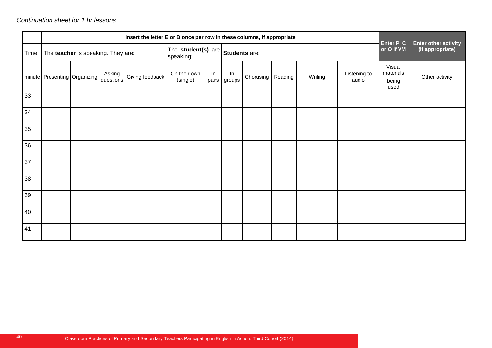## *Continuation sheet for 1 hr lessons*

|      | Insert the letter E or B once per row in these columns, if appropriate |  |                     |                 |                                               |             |              |                   |  |         |                       |                                      | <b>Enter other activity</b> |
|------|------------------------------------------------------------------------|--|---------------------|-----------------|-----------------------------------------------|-------------|--------------|-------------------|--|---------|-----------------------|--------------------------------------|-----------------------------|
| Time | The teacher is speaking. They are:                                     |  |                     |                 | The student(s) are Students are:<br>speaking: |             |              |                   |  |         |                       | Enter P, C<br>or O if VM             | (if appropriate)            |
|      | minute Presenting Organizing                                           |  | Asking<br>questions | Giving feedback | On their own<br>(single)                      | In<br>pairs | In<br>groups | Chorusing Reading |  | Writing | Listening to<br>audio | Visual<br>materials<br>being<br>used | Other activity              |
| 33   |                                                                        |  |                     |                 |                                               |             |              |                   |  |         |                       |                                      |                             |
| 34   |                                                                        |  |                     |                 |                                               |             |              |                   |  |         |                       |                                      |                             |
| 35   |                                                                        |  |                     |                 |                                               |             |              |                   |  |         |                       |                                      |                             |
| 36   |                                                                        |  |                     |                 |                                               |             |              |                   |  |         |                       |                                      |                             |
| 37   |                                                                        |  |                     |                 |                                               |             |              |                   |  |         |                       |                                      |                             |
| 38   |                                                                        |  |                     |                 |                                               |             |              |                   |  |         |                       |                                      |                             |
| 39   |                                                                        |  |                     |                 |                                               |             |              |                   |  |         |                       |                                      |                             |
| 40   |                                                                        |  |                     |                 |                                               |             |              |                   |  |         |                       |                                      |                             |
| 41   |                                                                        |  |                     |                 |                                               |             |              |                   |  |         |                       |                                      |                             |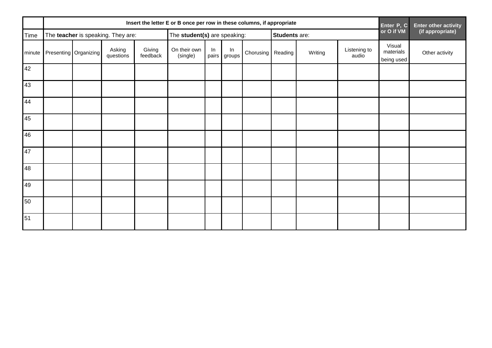|        | Insert the letter E or B once per row in these columns, if appropriate |                       |                                    |                    |                              |             |              |                   |                      |         |                       | Enter P, C                        | <b>Enter other activity</b> |
|--------|------------------------------------------------------------------------|-----------------------|------------------------------------|--------------------|------------------------------|-------------|--------------|-------------------|----------------------|---------|-----------------------|-----------------------------------|-----------------------------|
| Time   |                                                                        |                       | The teacher is speaking. They are: |                    | The student(s) are speaking: |             |              |                   | <b>Students are:</b> |         |                       | or O if VM                        | (if appropriate)            |
| minute |                                                                        | Presenting Organizing | Asking<br>questions                | Giving<br>feedback | On their own<br>(single)     | In<br>pairs | In<br>groups | Chorusing Reading |                      | Writing | Listening to<br>audio | Visual<br>materials<br>being used | Other activity              |
| 42     |                                                                        |                       |                                    |                    |                              |             |              |                   |                      |         |                       |                                   |                             |
| 43     |                                                                        |                       |                                    |                    |                              |             |              |                   |                      |         |                       |                                   |                             |
| 44     |                                                                        |                       |                                    |                    |                              |             |              |                   |                      |         |                       |                                   |                             |
| 45     |                                                                        |                       |                                    |                    |                              |             |              |                   |                      |         |                       |                                   |                             |
| 46     |                                                                        |                       |                                    |                    |                              |             |              |                   |                      |         |                       |                                   |                             |
| 47     |                                                                        |                       |                                    |                    |                              |             |              |                   |                      |         |                       |                                   |                             |
| 48     |                                                                        |                       |                                    |                    |                              |             |              |                   |                      |         |                       |                                   |                             |
| 49     |                                                                        |                       |                                    |                    |                              |             |              |                   |                      |         |                       |                                   |                             |
| 50     |                                                                        |                       |                                    |                    |                              |             |              |                   |                      |         |                       |                                   |                             |
| 51     |                                                                        |                       |                                    |                    |                              |             |              |                   |                      |         |                       |                                   |                             |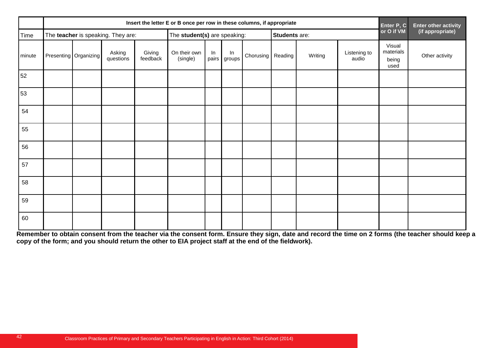|        | Insert the letter E or B once per row in these columns, if appropriate              |                       |                     |                    |                          |       |                    |                   |                          |                  |                       |                                      | <b>Enter other activity</b> |
|--------|-------------------------------------------------------------------------------------|-----------------------|---------------------|--------------------|--------------------------|-------|--------------------|-------------------|--------------------------|------------------|-----------------------|--------------------------------------|-----------------------------|
| Time   | The student(s) are speaking:<br>Students are:<br>The teacher is speaking. They are: |                       |                     |                    |                          |       |                    |                   | Enter P, C<br>or O if VM | (if appropriate) |                       |                                      |                             |
| minute |                                                                                     | Presenting Organizing | Asking<br>questions | Giving<br>feedback | On their own<br>(single) | $\ln$ | In<br>pairs groups | Chorusing Reading |                          | Writing          | Listening to<br>audio | Visual<br>materials<br>being<br>used | Other activity              |
| 52     |                                                                                     |                       |                     |                    |                          |       |                    |                   |                          |                  |                       |                                      |                             |
| 53     |                                                                                     |                       |                     |                    |                          |       |                    |                   |                          |                  |                       |                                      |                             |
| 54     |                                                                                     |                       |                     |                    |                          |       |                    |                   |                          |                  |                       |                                      |                             |
| 55     |                                                                                     |                       |                     |                    |                          |       |                    |                   |                          |                  |                       |                                      |                             |
| 56     |                                                                                     |                       |                     |                    |                          |       |                    |                   |                          |                  |                       |                                      |                             |
| 57     |                                                                                     |                       |                     |                    |                          |       |                    |                   |                          |                  |                       |                                      |                             |
| 58     |                                                                                     |                       |                     |                    |                          |       |                    |                   |                          |                  |                       |                                      |                             |
| 59     |                                                                                     |                       |                     |                    |                          |       |                    |                   |                          |                  |                       |                                      |                             |
| 60     |                                                                                     |                       |                     |                    |                          |       |                    |                   |                          |                  |                       |                                      |                             |

**Remember to obtain consent from the teacher via the consent form. Ensure they sign, date and record the time on 2 forms (the teacher should keep a copy of the form; and you should return the other to EIA project staff at the end of the fieldwork).**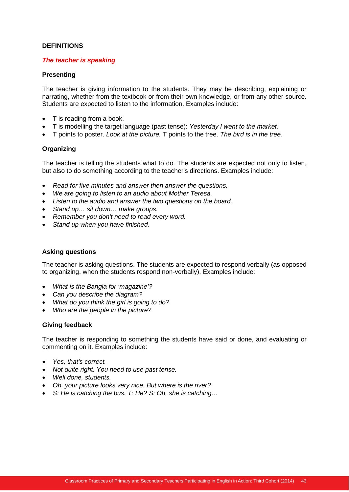### **DEFINITIONS**

#### *The teacher is speaking*

#### **Presenting**

The teacher is giving information to the students. They may be describing, explaining or narrating, whether from the textbook or from their own knowledge, or from any other source. Students are expected to listen to the information. Examples include:

- T is reading from a book.
- T is modelling the target language (past tense): *Yesterday I went to the market.*
- T points to poster. *Look at the picture.* T points to the tree. *The bird is in the tree.*

#### **Organizing**

The teacher is telling the students what to do. The students are expected not only to listen, but also to do something according to the teacher's directions. Examples include:

- *Read for five minutes and answer then answer the questions.*
- *We are going to listen to an audio about Mother Teresa.*
- *Listen to the audio and answer the two questions on the board.*
- *Stand up… sit down… make groups.*
- *Remember you don't need to read every word.*
- *Stand up when you have finished.*

#### **Asking questions**

The teacher is asking questions. The students are expected to respond verbally (as opposed to organizing, when the students respond non-verbally). Examples include:

- *What is the Bangla for 'magazine'?*
- *Can you describe the diagram?*
- *What do you think the girl is going to do?*
- *Who are the people in the picture?*

#### **Giving feedback**

The teacher is responding to something the students have said or done, and evaluating or commenting on it. Examples include:

- *Yes, that's correct.*
- *Not quite right. You need to use past tense.*
- *Well done, students.*
- *Oh, your picture looks very nice. But where is the river?*
- *S: He is catching the bus. T: He? S: Oh, she is catching…*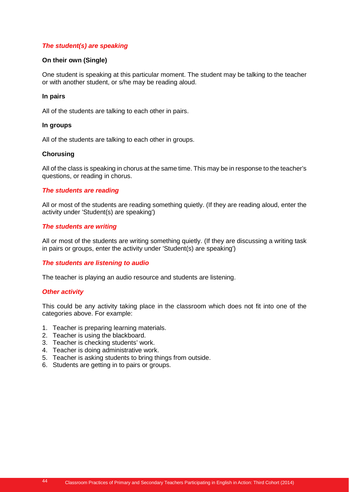## *The student(s) are speaking*

#### **On their own (Single)**

One student is speaking at this particular moment. The student may be talking to the teacher or with another student, or s/he may be reading aloud.

#### **In pairs**

All of the students are talking to each other in pairs.

#### **In groups**

All of the students are talking to each other in groups.

#### **Chorusing**

All of the class is speaking in chorus at the same time. This may be in response to the teacher's questions, or reading in chorus.

#### *The students are reading*

All or most of the students are reading something quietly. (If they are reading aloud, enter the activity under 'Student(s) are speaking')

#### *The students are writing*

All or most of the students are writing something quietly. (If they are discussing a writing task in pairs or groups, enter the activity under 'Student(s) are speaking')

## *The students are listening to audio*

The teacher is playing an audio resource and students are listening.

#### *Other activity*

This could be any activity taking place in the classroom which does not fit into one of the categories above. For example:

- 1. Teacher is preparing learning materials.
- 2. Teacher is using the blackboard.
- 3. Teacher is checking students' work.
- 4. Teacher is doing administrative work.
- 5. Teacher is asking students to bring things from outside.
- 6. Students are getting in to pairs or groups.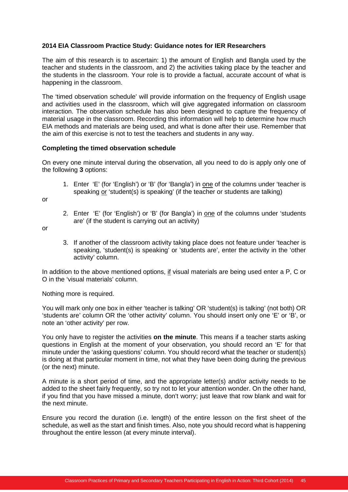### **2014 EIA Classroom Practice Study: Guidance notes for IER Researchers**

The aim of this research is to ascertain: 1) the amount of English and Bangla used by the teacher and students in the classroom, and 2) the activities taking place by the teacher and the students in the classroom. Your role is to provide a factual, accurate account of what is happening in the classroom.

The 'timed observation schedule' will provide information on the frequency of English usage and activities used in the classroom, which will give aggregated information on classroom interaction. The observation schedule has also been designed to capture the frequency of material usage in the classroom. Recording this information will help to determine how much EIA methods and materials are being used, and what is done after their use. Remember that the aim of this exercise is not to test the teachers and students in any way.

#### **Completing the timed observation schedule**

On every one minute interval during the observation, all you need to do is apply only one of the following **3** options:

1. Enter 'E' (for 'English') or 'B' (for 'Bangla') in one of the columns under 'teacher is speaking or 'student(s) is speaking' (if the teacher or students are talking)

or

2. Enter 'E' (for 'English') or 'B' (for Bangla') in one of the columns under 'students are' (if the student is carrying out an activity)

or

3. If another of the classroom activity taking place does not feature under 'teacher is speaking, 'student(s) is speaking' or 'students are', enter the activity in the 'other activity' column.

In addition to the above mentioned options, if visual materials are being used enter a P, C or O in the 'visual materials' column.

Nothing more is required.

You will mark only one box in either 'teacher is talking' OR 'student(s) is talking' (not both) OR 'students are' column OR the 'other activity' column. You should insert only one 'E' or 'B', or note an 'other activity' per row.

You only have to register the activities **on the minute**. This means if a teacher starts asking questions in English at the moment of your observation, you should record an 'E' for that minute under the 'asking questions' column. You should record what the teacher or student(s) is doing at that particular moment in time, not what they have been doing during the previous (or the next) minute.

A minute is a short period of time, and the appropriate letter(s) and/or activity needs to be added to the sheet fairly frequently, so try not to let your attention wonder. On the other hand, if you find that you have missed a minute, don't worry; just leave that row blank and wait for the next minute.

Ensure you record the duration (i.e. length) of the entire lesson on the first sheet of the schedule, as well as the start and finish times. Also, note you should record what is happening throughout the entire lesson (at every minute interval).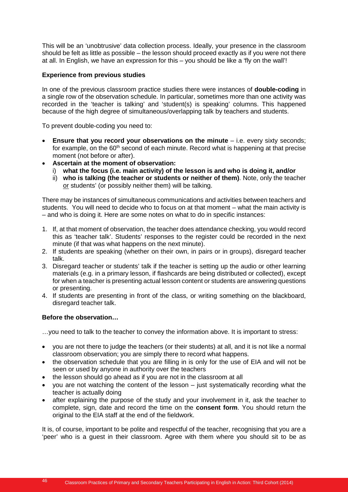This will be an 'unobtrusive' data collection process. Ideally, your presence in the classroom should be felt as little as possible – the lesson should proceed exactly as if you were not there at all. In English, we have an expression for this – you should be like a 'fly on the wall'!

### **Experience from previous studies**

In one of the previous classroom practice studies there were instances of **double-coding** in a single row of the observation schedule. In particular, sometimes more than one activity was recorded in the 'teacher is talking' and 'student(s) is speaking' columns. This happened because of the high degree of simultaneous/overlapping talk by teachers and students.

To prevent double-coding you need to:

- **Ensure that you record your observations on the minute** i.e. every sixty seconds; for example, on the  $60<sup>th</sup>$  second of each minute. Record what is happening at that precise moment (not before or after).
- **Ascertain at the moment of observation:**
	- i) **what the focus (i.e. main activity) of the lesson is and who is doing it, and/or**
	- ii) **who is talking (the teacher or students or neither of them)**. Note, only the teacher or students' (or possibly neither them) will be talking.

There may be instances of simultaneous communications and activities between teachers and students. You will need to decide who to focus on at that moment – what the main activity is – and who is doing it. Here are some notes on what to do in specific instances:

- 1. If, at that moment of observation, the teacher does attendance checking, you would record this as 'teacher talk'. Students' responses to the register could be recorded in the next minute (if that was what happens on the next minute).
- 2. If students are speaking (whether on their own, in pairs or in groups), disregard teacher talk.
- 3. Disregard teacher or students' talk if the teacher is setting up the audio or other learning materials (e.g. in a primary lesson, if flashcards are being distributed or collected), except for when a teacher is presenting actual lesson content or students are answering questions or presenting.
- 4. If students are presenting in front of the class, or writing something on the blackboard, disregard teacher talk.

## **Before the observation…**

…you need to talk to the teacher to convey the information above. It is important to stress:

- you are not there to judge the teachers (or their students) at all, and it is not like a normal classroom observation; you are simply there to record what happens.
- the observation schedule that you are filling in is only for the use of EIA and will not be seen or used by anyone in authority over the teachers
- the lesson should go ahead as if you are not in the classroom at all
- you are not watching the content of the lesson just systematically recording what the teacher is actually doing
- after explaining the purpose of the study and your involvement in it, ask the teacher to complete, sign, date and record the time on the **consent form**. You should return the original to the EIA staff at the end of the fieldwork.

It is, of course, important to be polite and respectful of the teacher, recognising that you are a 'peer' who is a guest in their classroom. Agree with them where you should sit to be as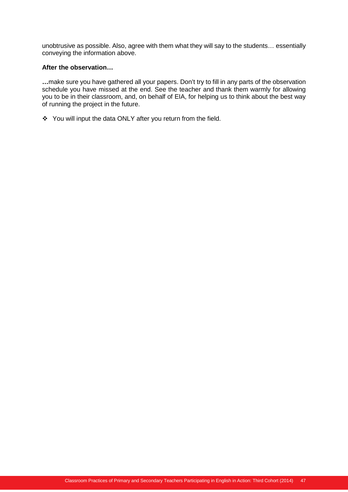unobtrusive as possible. Also, agree with them what they will say to the students… essentially conveying the information above.

#### **After the observation…**

**…**make sure you have gathered all your papers. Don't try to fill in any parts of the observation schedule you have missed at the end. See the teacher and thank them warmly for allowing you to be in their classroom, and, on behalf of EIA, for helping us to think about the best way of running the project in the future.

◆ You will input the data ONLY after you return from the field.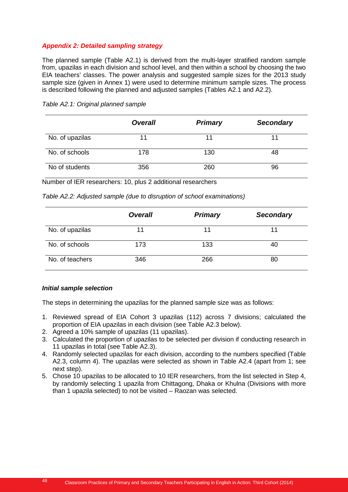## *Appendix 2: Detailed sampling strategy*

The planned sample (Table A2.1) is derived from the multi-layer stratified random sample from, upazilas in each division and school level, and then within a school by choosing the two EIA teachers' classes. The power analysis and suggested sample sizes for the 2013 study sample size (given in Annex 1) were used to determine minimum sample sizes. The process is described following the planned and adjusted samples (Tables A2.1 and A2.2).

|                 | <b>Overall</b> | <b>Primary</b> | <b>Secondary</b> |
|-----------------|----------------|----------------|------------------|
| No. of upazilas | 11             |                |                  |
| No. of schools  | 178            | 130            | 48               |
| No of students  | 356            | 260            | 96               |

*Table A2.1: Original planned sample* 

Number of IER researchers: 10, plus 2 additional researchers

*Table A2.2: Adjusted sample (due to disruption of school examinations)*

|                 | <b>Overall</b> | <b>Primary</b> | <b>Secondary</b> |
|-----------------|----------------|----------------|------------------|
| No. of upazilas |                | 11             |                  |
| No. of schools  | 173            | 133            | 40               |
| No. of teachers | 346            | 266            | 80               |

## *Initial sample selection*

The steps in determining the upazilas for the planned sample size was as follows:

- 1. Reviewed spread of EIA Cohort 3 upazilas (112) across 7 divisions; calculated the proportion of EIA upazilas in each division (see Table A2.3 below).
- 2. Agreed a 10% sample of upazilas (11 upazilas).
- 3. Calculated the proportion of upazilas to be selected per division if conducting research in 11 upazilas in total (see Table A2.3).
- 4. Randomly selected upazilas for each division, according to the numbers specified (Table A2.3, column 4). The upazilas were selected as shown in Table A2.4 (apart from 1; see next step).
- 5. Chose 10 upazilas to be allocated to 10 IER researchers, from the list selected in Step 4, by randomly selecting 1 upazila from Chittagong, Dhaka or Khulna (Divisions with more than 1 upazila selected) to not be visited – Raozan was selected.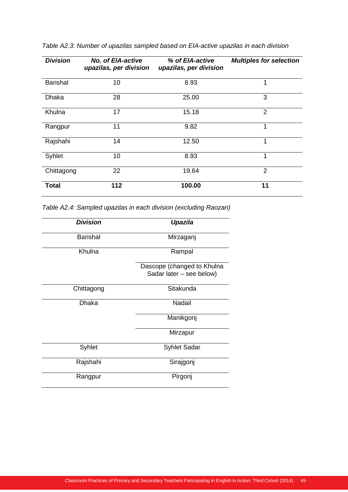| <b>Division</b> | <b>No. of EIA-active</b><br>upazilas, per division | % of EIA-active<br>upazilas, per division | <b>Multiples for selection</b> |
|-----------------|----------------------------------------------------|-------------------------------------------|--------------------------------|
| <b>Barishal</b> | 10                                                 | 8.93                                      | 1                              |
| <b>Dhaka</b>    | 28                                                 | 25.00                                     | 3                              |
| Khulna          | 17                                                 | 15.18                                     | $\overline{2}$                 |
| Rangpur         | 11                                                 | 9.82                                      | 1                              |
| Rajshahi        | 14                                                 | 12.50                                     | 1                              |
| Syhlet          | 10                                                 | 8.93                                      | 1                              |
| Chittagong      | 22                                                 | 19.64                                     | $\overline{2}$                 |
| <b>Total</b>    | 112                                                | 100.00                                    | 11                             |

*Table A2.3: Number of upazilas sampled based on EIA-active upazilas in each division*

*Table A2.4: Sampled upazilas in each division (excluding Raozan)*

| <b>Division</b> | Upazila                    |  |
|-----------------|----------------------------|--|
| <b>Barishal</b> | Mirzaganj                  |  |
| Khulna          | Rampal                     |  |
|                 | Dascope (changed to Khulna |  |
|                 | Sadar later - see below)   |  |
| Chittagong      | Sitakunda                  |  |
| <b>Dhaka</b>    | <b>Nadail</b>              |  |
|                 | Manikgonj                  |  |
|                 | Mirzapur                   |  |
| Syhlet          | <b>Syhlet Sadar</b>        |  |
| Rajshahi        | Sirajgonj                  |  |
| Rangpur         | Pirgonj                    |  |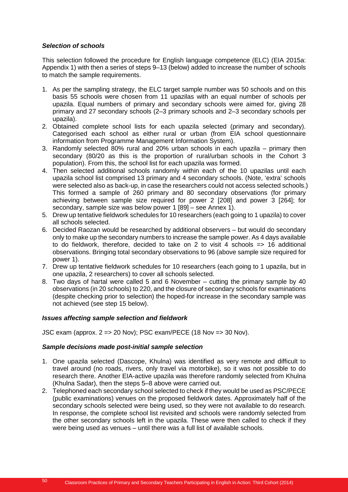#### *Selection of schools*

This selection followed the procedure for English language competence (ELC) (EIA 2015a: Appendix 1) with then a series of steps 9–13 (below) added to increase the number of schools to match the sample requirements.

- 1. As per the sampling strategy, the ELC target sample number was 50 schools and on this basis 55 schools were chosen from 11 upazilas with an equal number of schools per upazila. Equal numbers of primary and secondary schools were aimed for, giving 28 primary and 27 secondary schools (2–3 primary schools and 2–3 secondary schools per upazila).
- 2. Obtained complete school lists for each upazila selected (primary and secondary). Categorised each school as either rural or urban (from EIA school questionnaire information from Programme Management Information System).
- 3. Randomly selected 80% rural and 20% urban schools in each upazila primary then secondary (80/20 as this is the proportion of rural/urban schools in the Cohort 3 population). From this, the school list for each upazila was formed.
- 4. Then selected additional schools randomly within each of the 10 upazilas until each upazila school list comprised 13 primary and 4 secondary schools. (Note, 'extra' schools were selected also as back-up, in case the researchers could not access selected schools.) This formed a sample of 260 primary and 80 secondary observations (for primary achieving between sample size required for power 2 [208] and power 3 [264]; for secondary, sample size was below power 1 [89] – see Annex 1).
- 5. Drew up tentative fieldwork schedules for 10 researchers (each going to 1 upazila) to cover all schools selected.
- 6. Decided Raozan would be researched by additional observers but would do secondary only to make up the secondary numbers to increase the sample power. As 4 days available to do fieldwork, therefore, decided to take on 2 to visit 4 schools => 16 additional observations. Bringing total secondary observations to 96 (above sample size required for power 1).
- 7. Drew up tentative fieldwork schedules for 10 researchers (each going to 1 upazila, but in one upazila, 2 researchers) to cover all schools selected.
- 8. Two days of hartal were called 5 and 6 November cutting the primary sample by 40 observations (in 20 schools) to 220, and the closure of secondary schools for examinations (despite checking prior to selection) the hoped-for increase in the secondary sample was not achieved (see step 15 below).

## *Issues affecting sample selection and fieldwork*

JSC exam (approx.  $2 \Rightarrow 20$  Nov); PSC exam/PECE (18 Nov  $\Rightarrow$  30 Nov).

#### *Sample decisions made post-initial sample selection*

- 1. One upazila selected (Dascope, Khulna) was identified as very remote and difficult to travel around (no roads, rivers, only travel via motorbike), so it was not possible to do research there. Another EIA-active upazila was therefore randomly selected from Khulna (Khulna Sadar), then the steps 5–8 above were carried out.
- 2. Telephoned each secondary school selected to check if they would be used as PSC/PECE (public examinations) venues on the proposed fieldwork dates. Approximately half of the secondary schools selected were being used, so they were not available to do research. In response, the complete school list revisited and schools were randomly selected from the other secondary schools left in the upazila. These were then called to check if they were being used as venues – until there was a full list of available schools.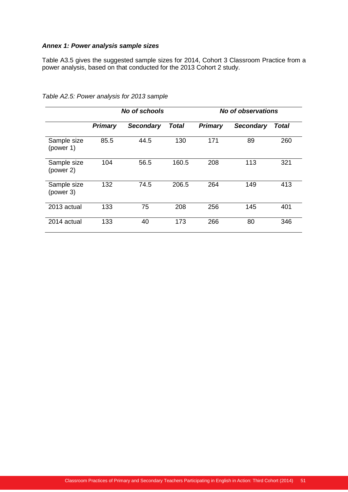#### *Annex 1: Power analysis sample sizes*

Table A3.5 gives the suggested sample sizes for 2014, Cohort 3 Classroom Practice from a power analysis, based on that conducted for the 2013 Cohort 2 study.

|                          |                | <b>No of schools</b> |       | No of observations |                  |       |
|--------------------------|----------------|----------------------|-------|--------------------|------------------|-------|
|                          | <b>Primary</b> | <b>Secondary</b>     | Total | <b>Primary</b>     | <b>Secondary</b> | Total |
| Sample size<br>(power 1) | 85.5           | 44.5                 | 130   | 171                | 89               | 260   |
| Sample size<br>(power 2) | 104            | 56.5                 | 160.5 | 208                | 113              | 321   |
| Sample size<br>(power 3) | 132            | 74.5                 | 206.5 | 264                | 149              | 413   |
| 2013 actual              | 133            | 75                   | 208   | 256                | 145              | 401   |
| 2014 actual              | 133            | 40                   | 173   | 266                | 80               | 346   |

*Table A2.5: Power analysis for 2013 sample*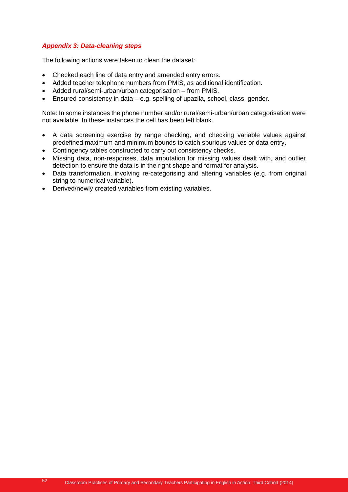## *Appendix 3: Data-cleaning steps*

The following actions were taken to clean the dataset:

- Checked each line of data entry and amended entry errors.
- Added teacher telephone numbers from PMIS, as additional identification.
- Added rural/semi-urban/urban categorisation from PMIS.
- Ensured consistency in data e.g. spelling of upazila, school, class, gender.

Note: In some instances the phone number and/or rural/semi-urban/urban categorisation were not available. In these instances the cell has been left blank.

- A data screening exercise by range checking, and checking variable values against predefined maximum and minimum bounds to catch spurious values or data entry.
- Contingency tables constructed to carry out consistency checks.
- Missing data, non-responses, data imputation for missing values dealt with, and outlier detection to ensure the data is in the right shape and format for analysis.
- Data transformation, involving re-categorising and altering variables (e.g. from original string to numerical variable).
- Derived/newly created variables from existing variables.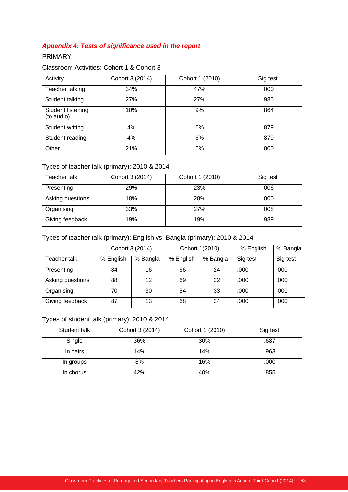## *Appendix 4: Tests of significance used in the report*

## PRIMARY

## Classroom Activities: Cohort 1 & Cohort 3

| Activity                        | Cohort 3 (2014) | Cohort 1 (2010) | Sig test |
|---------------------------------|-----------------|-----------------|----------|
| Teacher talking                 | 34%             | 47%             | .000     |
| Student talking                 | 27%             | 27%             | .985     |
| Student listening<br>(to audio) | 10%             | 9%              | .864     |
| Student writing                 | 4%              | 6%              | .879     |
| Student reading                 | 4%              | 6%              | .879     |
| Other                           | 21%             | 5%              | .000     |

## Types of teacher talk (primary): 2010 & 2014

| Teacher talk     | Cohort 3 (2014) | Cohort 1 (2010) | Sig test |
|------------------|-----------------|-----------------|----------|
| Presenting       | 29%             | 23%             | .006     |
| Asking questions | 18%             | 28%             | .000     |
| Organising       | 33%             | 27%             | .008     |
| Giving feedback  | 19%             | 19%             | .989     |

## Types of teacher talk (primary): English vs. Bangla (primary): 2010 & 2014

|                  |           | Cohort 3 (2014) |           | Cohort 1(2010) | % English | % Bangla |
|------------------|-----------|-----------------|-----------|----------------|-----------|----------|
| Teacher talk     | % English | % Bangla        | % English | % Bangla       | Sig test  | Sig test |
| Presenting       | 84        | 16              | 66        | 24             | .000      | .000     |
| Asking questions | 88        | 12              | 69        | 22             | .000      | .000     |
| Organising       | 70        | 30              | 54        | 33             | .000      | .000     |
| Giving feedback  | 87        | 13              | 68        | 24             | .000      | .000     |

## Types of student talk (primary): 2010 & 2014

| Student talk | Cohort 3 (2014) | Cohort 1 (2010) | Sig test |
|--------------|-----------------|-----------------|----------|
| Single       | 36%             | 30%             | .687     |
| In pairs     | 14%             | 14%             | .963     |
| In groups    | 8%              | 16%             | .000     |
| In chorus    | 42%             | 40%             | .855     |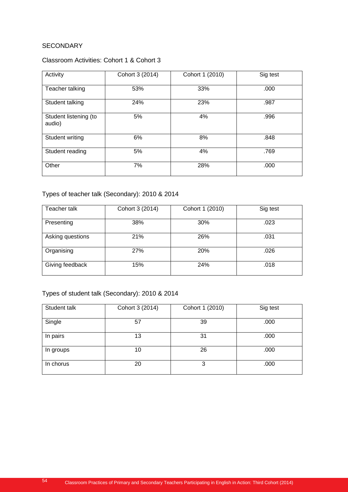## **SECONDARY**

### Classroom Activities: Cohort 1 & Cohort 3

| Activity                        | Cohort 3 (2014) | Cohort 1 (2010) | Sig test |
|---------------------------------|-----------------|-----------------|----------|
| Teacher talking                 | 53%             | 33%             | .000     |
| Student talking                 | 24%             | 23%             | .987     |
| Student listening (to<br>audio) | 5%              | 4%              | .996     |
| Student writing                 | 6%              | 8%              | .848     |
| Student reading                 | 5%              | 4%              | .769     |
| Other                           | 7%              | 28%             | .000     |

## Types of teacher talk (Secondary): 2010 & 2014

| Teacher talk     | Cohort 3 (2014) | Cohort 1 (2010) | Sig test |
|------------------|-----------------|-----------------|----------|
| Presenting       | 38%             | 30%             | .023     |
| Asking questions | 21%             | 26%             | .031     |
| Organising       | 27%             | 20%             | .026     |
| Giving feedback  | 15%             | 24%             | .018     |

## Types of student talk (Secondary): 2010 & 2014

| Student talk | Cohort 3 (2014) | Cohort 1 (2010) | Sig test |
|--------------|-----------------|-----------------|----------|
| Single       | 57              | 39              | .000     |
| In pairs     | 13              | 31              | .000     |
| In groups    | 10              | 26              | .000     |
| In chorus    | 20              | 3               | .000     |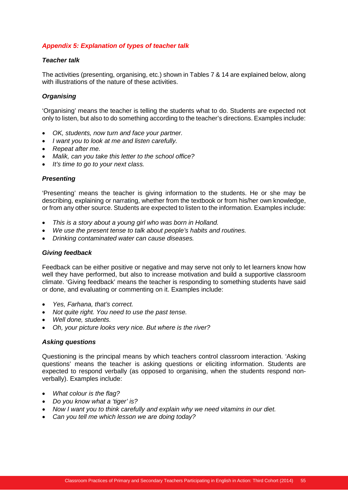## *Appendix 5: Explanation of types of teacher talk*

#### *Teacher talk*

The activities (presenting, organising, etc.) shown in Tables 7 & 14 are explained below, along with illustrations of the nature of these activities.

## *Organising*

'Organising' means the teacher is telling the students what to do. Students are expected not only to listen, but also to do something according to the teacher's directions. Examples include:

- *OK, students, now turn and face your partner.*
- *I want you to look at me and listen carefully.*
- *Repeat after me.*
- *Malik, can you take this letter to the school office?*
- *It's time to go to your next class.*

## *Presenting*

'Presenting' means the teacher is giving information to the students. He or she may be describing, explaining or narrating, whether from the textbook or from his/her own knowledge, or from any other source. Students are expected to listen to the information. Examples include:

- *This is a story about a young girl who was born in Holland.*
- *We use the present tense to talk about people's habits and routines.*
- *Drinking contaminated water can cause diseases.*

#### *Giving feedback*

Feedback can be either positive or negative and may serve not only to let learners know how well they have performed, but also to increase motivation and build a supportive classroom climate. 'Giving feedback' means the teacher is responding to something students have said or done, and evaluating or commenting on it. Examples include:

- *Yes, Farhana, that's correct.*
- *Not quite right. You need to use the past tense.*
- *Well done, students.*
- *Oh, your picture looks very nice. But where is the river?*

#### *Asking questions*

Questioning is the principal means by which teachers control classroom interaction. 'Asking questions' means the teacher is asking questions or eliciting information. Students are expected to respond verbally (as opposed to organising, when the students respond nonverbally). Examples include:

- *What colour is the flag?*
- *Do you know what a 'tiger' is?*
- *Now I want you to think carefully and explain why we need vitamins in our diet.*
- *Can you tell me which lesson we are doing today?*